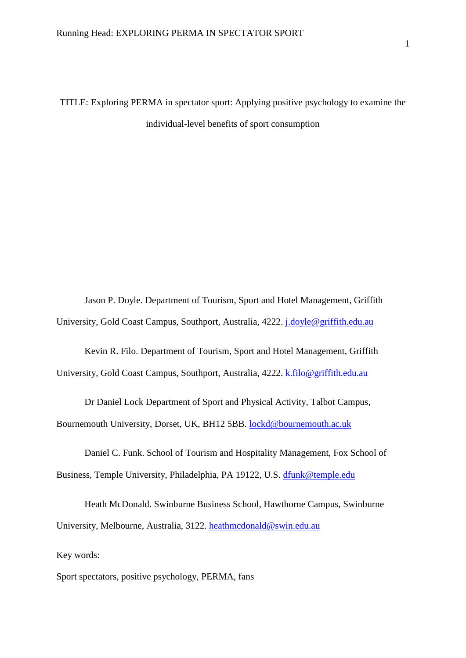TITLE: Exploring PERMA in spectator sport: Applying positive psychology to examine the individual-level benefits of sport consumption

Jason P. Doyle. Department of Tourism, Sport and Hotel Management, Griffith University, Gold Coast Campus, Southport, Australia, 4222. [j.doyle@griffith.edu.au](mailto:j.doyle@griffith.edu.au)

Kevin R. Filo. Department of Tourism, Sport and Hotel Management, Griffith University, Gold Coast Campus, Southport, Australia, 4222. [k.filo@griffith.edu.au](mailto:k.filo@griffith.edu.au)

Dr Daniel Lock Department of Sport and Physical Activity, Talbot Campus, Bournemouth University, Dorset, UK, BH12 5BB. [lockd@bournemouth.ac.uk](mailto:lockd@bournemouth.ac.uk)

Daniel C. Funk. School of Tourism and Hospitality Management, Fox School of Business, Temple University, Philadelphia, PA 19122, U.S. [dfunk@temple.edu](mailto:dfunk@temple.edu)

Heath McDonald. Swinburne Business School, Hawthorne Campus, Swinburne University, Melbourne, Australia, 3122. [heathmcdonald@swin.edu.au](mailto:heathmcdonald@swin.edu.au)

Key words:

Sport spectators, positive psychology, PERMA, fans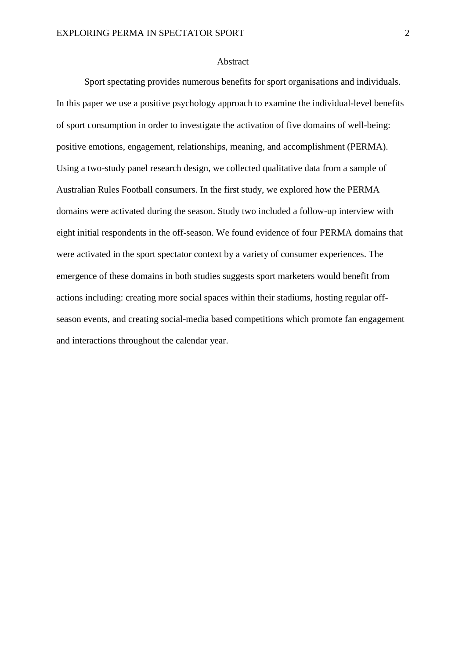#### Abstract

Sport spectating provides numerous benefits for sport organisations and individuals. In this paper we use a positive psychology approach to examine the individual-level benefits of sport consumption in order to investigate the activation of five domains of well-being: positive emotions, engagement, relationships, meaning, and accomplishment (PERMA). Using a two-study panel research design, we collected qualitative data from a sample of Australian Rules Football consumers. In the first study, we explored how the PERMA domains were activated during the season. Study two included a follow-up interview with eight initial respondents in the off-season. We found evidence of four PERMA domains that were activated in the sport spectator context by a variety of consumer experiences. The emergence of these domains in both studies suggests sport marketers would benefit from actions including: creating more social spaces within their stadiums, hosting regular offseason events, and creating social-media based competitions which promote fan engagement and interactions throughout the calendar year.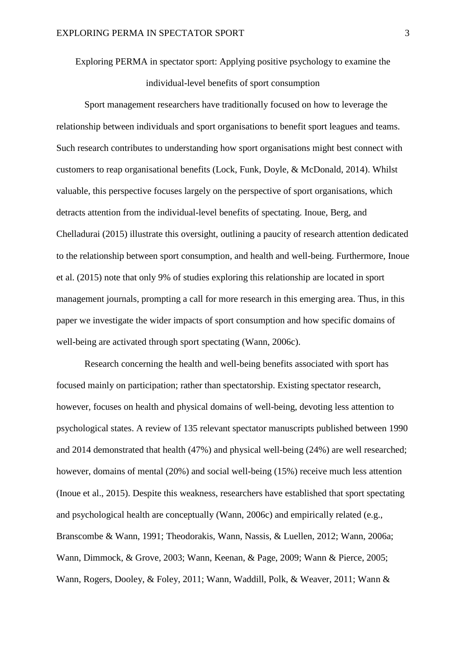Exploring PERMA in spectator sport: Applying positive psychology to examine the individual-level benefits of sport consumption

Sport management researchers have traditionally focused on how to leverage the relationship between individuals and sport organisations to benefit sport leagues and teams. Such research contributes to understanding how sport organisations might best connect with customers to reap organisational benefits (Lock, Funk, Doyle, & McDonald, 2014). Whilst valuable, this perspective focuses largely on the perspective of sport organisations, which detracts attention from the individual-level benefits of spectating. Inoue, Berg, and Chelladurai (2015) illustrate this oversight, outlining a paucity of research attention dedicated to the relationship between sport consumption, and health and well-being. Furthermore, Inoue et al. (2015) note that only 9% of studies exploring this relationship are located in sport management journals, prompting a call for more research in this emerging area. Thus, in this paper we investigate the wider impacts of sport consumption and how specific domains of well-being are activated through sport spectating (Wann, 2006c).

Research concerning the health and well-being benefits associated with sport has focused mainly on participation; rather than spectatorship. Existing spectator research, however, focuses on health and physical domains of well-being, devoting less attention to psychological states. A review of 135 relevant spectator manuscripts published between 1990 and 2014 demonstrated that health (47%) and physical well-being (24%) are well researched; however, domains of mental (20%) and social well-being (15%) receive much less attention (Inoue et al., 2015). Despite this weakness, researchers have established that sport spectating and psychological health are conceptually (Wann, 2006c) and empirically related (e.g., Branscombe & Wann, 1991; Theodorakis, Wann, Nassis, & Luellen, 2012; Wann, 2006a; Wann, Dimmock, & Grove, 2003; Wann, Keenan, & Page, 2009; Wann & Pierce, 2005; Wann, Rogers, Dooley, & Foley, 2011; Wann, Waddill, Polk, & Weaver, 2011; Wann &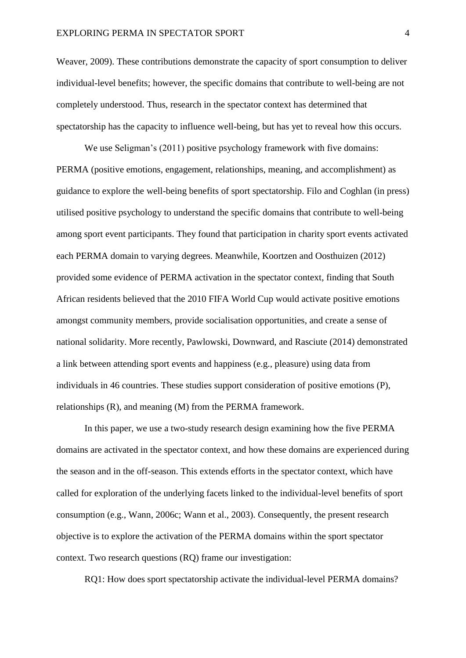Weaver, 2009). These contributions demonstrate the capacity of sport consumption to deliver individual-level benefits; however, the specific domains that contribute to well-being are not completely understood. Thus, research in the spectator context has determined that spectatorship has the capacity to influence well-being, but has yet to reveal how this occurs.

We use Seligman's (2011) positive psychology framework with five domains: PERMA (positive emotions, engagement, relationships, meaning, and accomplishment) as guidance to explore the well-being benefits of sport spectatorship. Filo and Coghlan (in press) utilised positive psychology to understand the specific domains that contribute to well-being among sport event participants. They found that participation in charity sport events activated each PERMA domain to varying degrees. Meanwhile, Koortzen and Oosthuizen (2012) provided some evidence of PERMA activation in the spectator context, finding that South African residents believed that the 2010 FIFA World Cup would activate positive emotions amongst community members, provide socialisation opportunities, and create a sense of national solidarity. More recently, Pawlowski, Downward, and Rasciute (2014) demonstrated a link between attending sport events and happiness (e.g., pleasure) using data from individuals in 46 countries. These studies support consideration of positive emotions (P), relationships (R), and meaning (M) from the PERMA framework.

In this paper, we use a two-study research design examining how the five PERMA domains are activated in the spectator context, and how these domains are experienced during the season and in the off-season. This extends efforts in the spectator context, which have called for exploration of the underlying facets linked to the individual-level benefits of sport consumption (e.g., Wann, 2006c; Wann et al., 2003). Consequently, the present research objective is to explore the activation of the PERMA domains within the sport spectator context. Two research questions (RQ) frame our investigation:

RQ1: How does sport spectatorship activate the individual-level PERMA domains?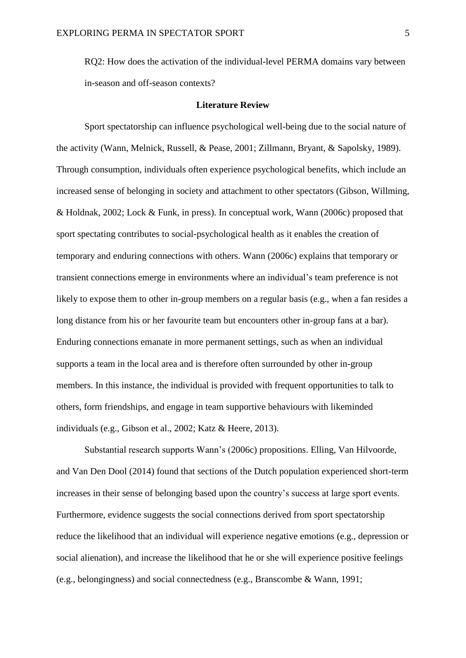RQ2: How does the activation of the individual-level PERMA domains vary between in-season and off-season contexts?

#### **Literature Review**

Sport spectatorship can influence psychological well-being due to the social nature of the activity (Wann, Melnick, Russell, & Pease, 2001; Zillmann, Bryant, & Sapolsky, 1989). Through consumption, individuals often experience psychological benefits, which include an increased sense of belonging in society and attachment to other spectators (Gibson, Willming, & Holdnak, 2002; Lock & Funk, in press). In conceptual work, Wann (2006c) proposed that sport spectating contributes to social-psychological health as it enables the creation of temporary and enduring connections with others. Wann (2006c) explains that temporary or transient connections emerge in environments where an individual's team preference is not likely to expose them to other in-group members on a regular basis (e.g., when a fan resides a long distance from his or her favourite team but encounters other in-group fans at a bar). Enduring connections emanate in more permanent settings, such as when an individual supports a team in the local area and is therefore often surrounded by other in-group members. In this instance, the individual is provided with frequent opportunities to talk to others, form friendships, and engage in team supportive behaviours with likeminded individuals (e.g., Gibson et al., 2002; Katz & Heere, 2013).

Substantial research supports Wann's (2006c) propositions. Elling, Van Hilvoorde, and Van Den Dool (2014) found that sections of the Dutch population experienced short-term increases in their sense of belonging based upon the country's success at large sport events. Furthermore, evidence suggests the social connections derived from sport spectatorship reduce the likelihood that an individual will experience negative emotions (e.g., depression or social alienation), and increase the likelihood that he or she will experience positive feelings (e.g., belongingness) and social connectedness (e.g., Branscombe & Wann, 1991;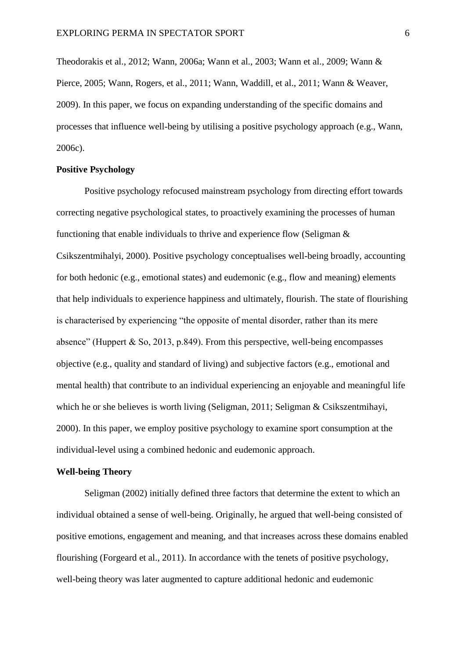Theodorakis et al., 2012; Wann, 2006a; Wann et al., 2003; Wann et al., 2009; Wann & Pierce, 2005; Wann, Rogers, et al., 2011; Wann, Waddill, et al., 2011; Wann & Weaver, 2009). In this paper, we focus on expanding understanding of the specific domains and processes that influence well-being by utilising a positive psychology approach (e.g., Wann, 2006c).

## **Positive Psychology**

Positive psychology refocused mainstream psychology from directing effort towards correcting negative psychological states, to proactively examining the processes of human functioning that enable individuals to thrive and experience flow (Seligman  $\&$ Csikszentmihalyi, 2000). Positive psychology conceptualises well-being broadly, accounting for both hedonic (e.g., emotional states) and eudemonic (e.g., flow and meaning) elements that help individuals to experience happiness and ultimately, flourish. The state of flourishing is characterised by experiencing "the opposite of mental disorder, rather than its mere absence" (Huppert & So, 2013, p.849). From this perspective, well-being encompasses objective (e.g., quality and standard of living) and subjective factors (e.g., emotional and mental health) that contribute to an individual experiencing an enjoyable and meaningful life which he or she believes is worth living (Seligman, 2011; Seligman & Csikszentmihayi, 2000). In this paper, we employ positive psychology to examine sport consumption at the individual-level using a combined hedonic and eudemonic approach.

## **Well-being Theory**

Seligman (2002) initially defined three factors that determine the extent to which an individual obtained a sense of well-being. Originally, he argued that well-being consisted of positive emotions, engagement and meaning, and that increases across these domains enabled flourishing (Forgeard et al., 2011). In accordance with the tenets of positive psychology, well-being theory was later augmented to capture additional hedonic and eudemonic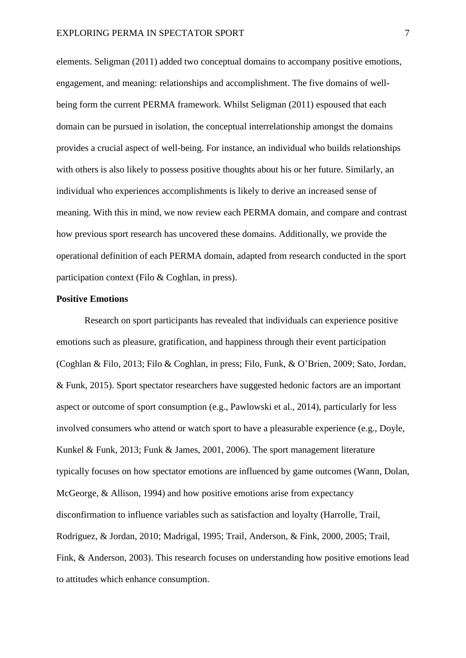elements. Seligman (2011) added two conceptual domains to accompany positive emotions, engagement, and meaning: relationships and accomplishment. The five domains of wellbeing form the current PERMA framework. Whilst Seligman (2011) espoused that each domain can be pursued in isolation, the conceptual interrelationship amongst the domains provides a crucial aspect of well-being. For instance, an individual who builds relationships with others is also likely to possess positive thoughts about his or her future. Similarly, an individual who experiences accomplishments is likely to derive an increased sense of meaning. With this in mind, we now review each PERMA domain, and compare and contrast how previous sport research has uncovered these domains. Additionally, we provide the operational definition of each PERMA domain, adapted from research conducted in the sport participation context (Filo & Coghlan, in press).

# **Positive Emotions**

Research on sport participants has revealed that individuals can experience positive emotions such as pleasure, gratification, and happiness through their event participation (Coghlan & Filo, 2013; Filo & Coghlan, in press; Filo, Funk, & O'Brien, 2009; Sato, Jordan, & Funk, 2015). Sport spectator researchers have suggested hedonic factors are an important aspect or outcome of sport consumption (e.g., Pawlowski et al., 2014), particularly for less involved consumers who attend or watch sport to have a pleasurable experience (e.g., Doyle, Kunkel & Funk, 2013; Funk & James, 2001, 2006). The sport management literature typically focuses on how spectator emotions are influenced by game outcomes (Wann, Dolan, McGeorge, & Allison, 1994) and how positive emotions arise from expectancy disconfirmation to influence variables such as satisfaction and loyalty (Harrolle, Trail, Rodriguez, & Jordan, 2010; Madrigal, 1995; Trail, Anderson, & Fink, 2000, 2005; Trail, Fink, & Anderson, 2003). This research focuses on understanding how positive emotions lead to attitudes which enhance consumption.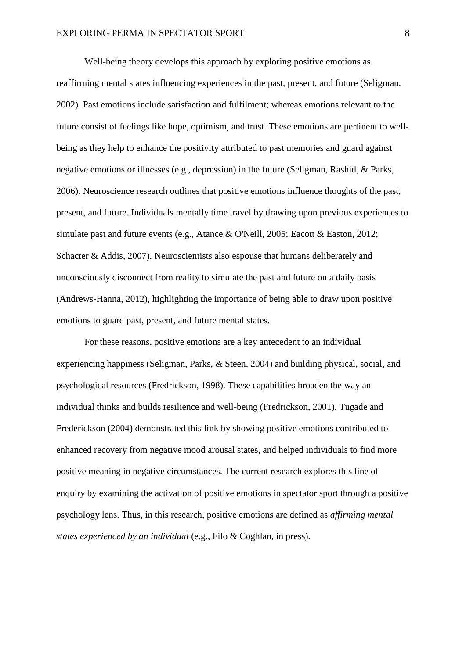Well-being theory develops this approach by exploring positive emotions as reaffirming mental states influencing experiences in the past, present, and future (Seligman, 2002). Past emotions include satisfaction and fulfilment; whereas emotions relevant to the future consist of feelings like hope, optimism, and trust. These emotions are pertinent to wellbeing as they help to enhance the positivity attributed to past memories and guard against negative emotions or illnesses (e.g., depression) in the future (Seligman, Rashid, & Parks, 2006). Neuroscience research outlines that positive emotions influence thoughts of the past, present, and future. Individuals mentally time travel by drawing upon previous experiences to simulate past and future events (e.g., Atance & O'Neill, 2005; Eacott & Easton, 2012; Schacter & Addis, 2007). Neuroscientists also espouse that humans deliberately and unconsciously disconnect from reality to simulate the past and future on a daily basis (Andrews-Hanna, 2012), highlighting the importance of being able to draw upon positive emotions to guard past, present, and future mental states.

For these reasons, positive emotions are a key antecedent to an individual experiencing happiness (Seligman, Parks, & Steen, 2004) and building physical, social, and psychological resources (Fredrickson, 1998). These capabilities broaden the way an individual thinks and builds resilience and well-being (Fredrickson, 2001). Tugade and Frederickson (2004) demonstrated this link by showing positive emotions contributed to enhanced recovery from negative mood arousal states, and helped individuals to find more positive meaning in negative circumstances. The current research explores this line of enquiry by examining the activation of positive emotions in spectator sport through a positive psychology lens. Thus, in this research, positive emotions are defined as *affirming mental states experienced by an individual* (e.g., Filo & Coghlan, in press)*.*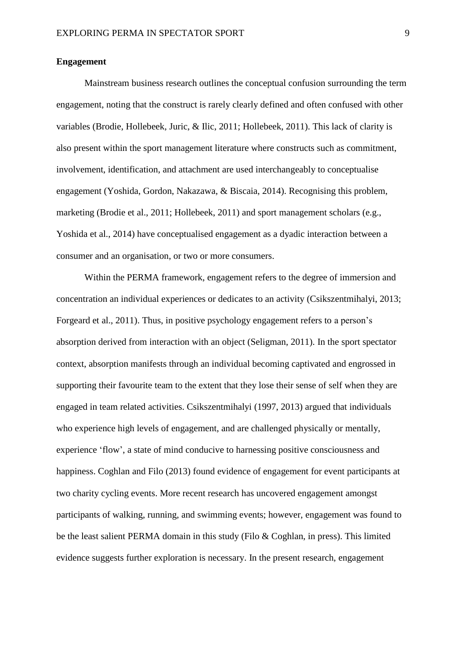## **Engagement**

Mainstream business research outlines the conceptual confusion surrounding the term engagement, noting that the construct is rarely clearly defined and often confused with other variables (Brodie, Hollebeek, Juric, & Ilic, 2011; Hollebeek, 2011). This lack of clarity is also present within the sport management literature where constructs such as commitment, involvement, identification, and attachment are used interchangeably to conceptualise engagement (Yoshida, Gordon, Nakazawa, & Biscaia, 2014). Recognising this problem, marketing (Brodie et al., 2011; Hollebeek, 2011) and sport management scholars (e.g., Yoshida et al., 2014) have conceptualised engagement as a dyadic interaction between a consumer and an organisation, or two or more consumers.

Within the PERMA framework, engagement refers to the degree of immersion and concentration an individual experiences or dedicates to an activity (Csikszentmihalyi, 2013; Forgeard et al., 2011). Thus, in positive psychology engagement refers to a person's absorption derived from interaction with an object (Seligman, 2011). In the sport spectator context, absorption manifests through an individual becoming captivated and engrossed in supporting their favourite team to the extent that they lose their sense of self when they are engaged in team related activities. Csikszentmihalyi (1997, 2013) argued that individuals who experience high levels of engagement, and are challenged physically or mentally, experience 'flow', a state of mind conducive to harnessing positive consciousness and happiness. Coghlan and Filo (2013) found evidence of engagement for event participants at two charity cycling events. More recent research has uncovered engagement amongst participants of walking, running, and swimming events; however, engagement was found to be the least salient PERMA domain in this study (Filo & Coghlan, in press). This limited evidence suggests further exploration is necessary. In the present research, engagement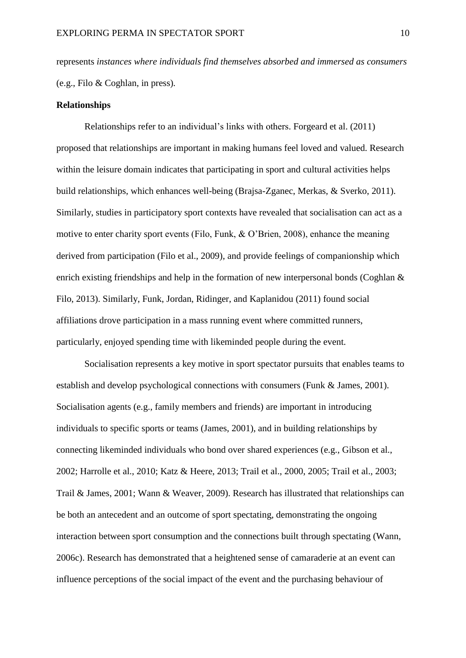represents *instances where individuals find themselves absorbed and immersed as consumers* (e.g., Filo & Coghlan, in press)*.*

## **Relationships**

Relationships refer to an individual's links with others. Forgeard et al. (2011) proposed that relationships are important in making humans feel loved and valued. Research within the leisure domain indicates that participating in sport and cultural activities helps build relationships, which enhances well-being (Brajsa-Zganec, Merkas, & Sverko, 2011). Similarly, studies in participatory sport contexts have revealed that socialisation can act as a motive to enter charity sport events (Filo, Funk, & O'Brien, 2008), enhance the meaning derived from participation (Filo et al., 2009), and provide feelings of companionship which enrich existing friendships and help in the formation of new interpersonal bonds (Coghlan & Filo, 2013). Similarly, Funk, Jordan, Ridinger, and Kaplanidou (2011) found social affiliations drove participation in a mass running event where committed runners, particularly, enjoyed spending time with likeminded people during the event.

Socialisation represents a key motive in sport spectator pursuits that enables teams to establish and develop psychological connections with consumers (Funk & James, 2001). Socialisation agents (e.g., family members and friends) are important in introducing individuals to specific sports or teams (James, 2001), and in building relationships by connecting likeminded individuals who bond over shared experiences (e.g., Gibson et al., 2002; Harrolle et al., 2010; Katz & Heere, 2013; Trail et al., 2000, 2005; Trail et al., 2003; Trail & James, 2001; Wann & Weaver, 2009). Research has illustrated that relationships can be both an antecedent and an outcome of sport spectating, demonstrating the ongoing interaction between sport consumption and the connections built through spectating (Wann, 2006c). Research has demonstrated that a heightened sense of camaraderie at an event can influence perceptions of the social impact of the event and the purchasing behaviour of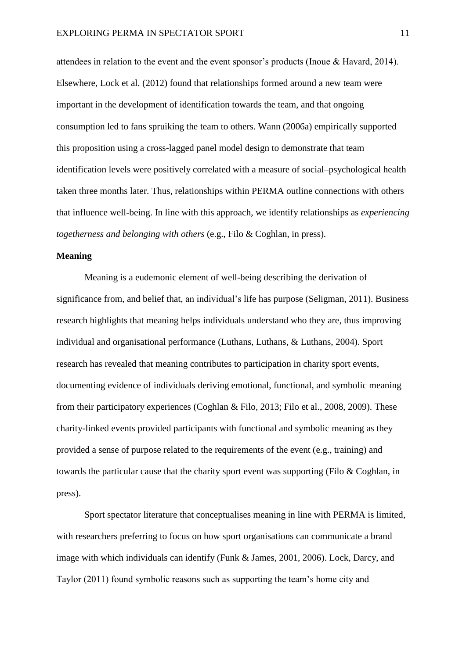attendees in relation to the event and the event sponsor's products (Inoue & Havard, 2014). Elsewhere, Lock et al. (2012) found that relationships formed around a new team were important in the development of identification towards the team, and that ongoing consumption led to fans spruiking the team to others. Wann (2006a) empirically supported this proposition using a cross-lagged panel model design to demonstrate that team identification levels were positively correlated with a measure of social–psychological health taken three months later. Thus, relationships within PERMA outline connections with others that influence well-being. In line with this approach, we identify relationships as *experiencing togetherness and belonging with others* (e.g., Filo & Coghlan, in press)*.*

# **Meaning**

Meaning is a eudemonic element of well-being describing the derivation of significance from, and belief that, an individual's life has purpose (Seligman, 2011). Business research highlights that meaning helps individuals understand who they are, thus improving individual and organisational performance (Luthans, Luthans, & Luthans, 2004). Sport research has revealed that meaning contributes to participation in charity sport events, documenting evidence of individuals deriving emotional, functional, and symbolic meaning from their participatory experiences (Coghlan & Filo, 2013; Filo et al., 2008, 2009). These charity-linked events provided participants with functional and symbolic meaning as they provided a sense of purpose related to the requirements of the event (e.g., training) and towards the particular cause that the charity sport event was supporting (Filo & Coghlan, in press).

Sport spectator literature that conceptualises meaning in line with PERMA is limited, with researchers preferring to focus on how sport organisations can communicate a brand image with which individuals can identify (Funk & James, 2001, 2006). Lock, Darcy, and Taylor (2011) found symbolic reasons such as supporting the team's home city and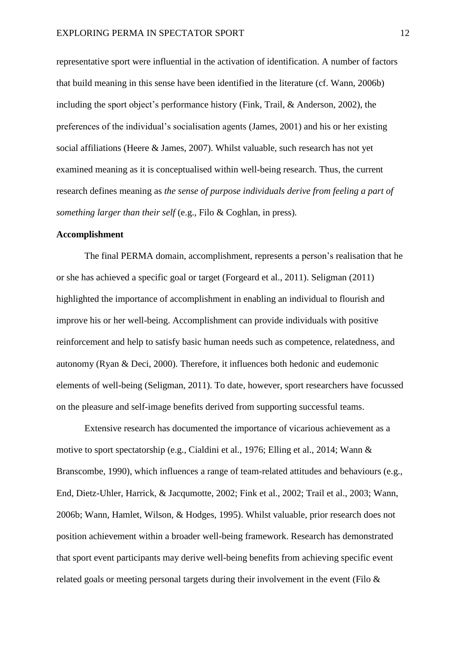representative sport were influential in the activation of identification. A number of factors that build meaning in this sense have been identified in the literature (cf. Wann, 2006b) including the sport object's performance history (Fink, Trail, & Anderson, 2002), the preferences of the individual's socialisation agents (James, 2001) and his or her existing social affiliations (Heere & James, 2007). Whilst valuable, such research has not yet examined meaning as it is conceptualised within well-being research. Thus, the current research defines meaning as *the sense of purpose individuals derive from feeling a part of something larger than their self* (e.g., Filo & Coghlan, in press)*.* 

## **Accomplishment**

The final PERMA domain, accomplishment, represents a person's realisation that he or she has achieved a specific goal or target (Forgeard et al., 2011). Seligman (2011) highlighted the importance of accomplishment in enabling an individual to flourish and improve his or her well-being. Accomplishment can provide individuals with positive reinforcement and help to satisfy basic human needs such as competence, relatedness, and autonomy (Ryan & Deci, 2000). Therefore, it influences both hedonic and eudemonic elements of well-being (Seligman, 2011). To date, however, sport researchers have focussed on the pleasure and self-image benefits derived from supporting successful teams.

Extensive research has documented the importance of vicarious achievement as a motive to sport spectatorship (e.g., Cialdini et al., 1976; Elling et al., 2014; Wann & Branscombe, 1990), which influences a range of team-related attitudes and behaviours (e.g., End, Dietz-Uhler, Harrick, & Jacqumotte, 2002; Fink et al., 2002; Trail et al., 2003; Wann, 2006b; Wann, Hamlet, Wilson, & Hodges, 1995). Whilst valuable, prior research does not position achievement within a broader well-being framework. Research has demonstrated that sport event participants may derive well-being benefits from achieving specific event related goals or meeting personal targets during their involvement in the event (Filo &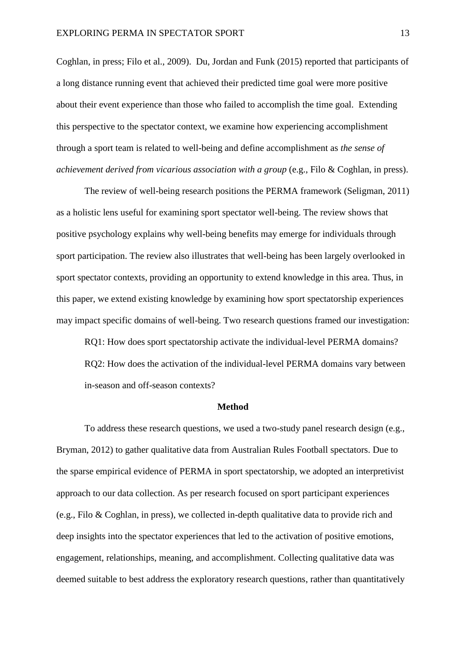Coghlan, in press; Filo et al., 2009). Du, Jordan and Funk (2015) reported that participants of a long distance running event that achieved their predicted time goal were more positive about their event experience than those who failed to accomplish the time goal. Extending this perspective to the spectator context, we examine how experiencing accomplishment through a sport team is related to well-being and define accomplishment as *the sense of achievement derived from vicarious association with a group* (e.g., Filo & Coghlan, in press).

The review of well-being research positions the PERMA framework (Seligman, 2011) as a holistic lens useful for examining sport spectator well-being. The review shows that positive psychology explains why well-being benefits may emerge for individuals through sport participation. The review also illustrates that well-being has been largely overlooked in sport spectator contexts, providing an opportunity to extend knowledge in this area. Thus, in this paper, we extend existing knowledge by examining how sport spectatorship experiences may impact specific domains of well-being. Two research questions framed our investigation:

RQ1: How does sport spectatorship activate the individual-level PERMA domains? RQ2: How does the activation of the individual-level PERMA domains vary between in-season and off-season contexts?

# **Method**

To address these research questions, we used a two-study panel research design (e.g., Bryman, 2012) to gather qualitative data from Australian Rules Football spectators. Due to the sparse empirical evidence of PERMA in sport spectatorship, we adopted an interpretivist approach to our data collection. As per research focused on sport participant experiences (e.g., Filo & Coghlan, in press), we collected in-depth qualitative data to provide rich and deep insights into the spectator experiences that led to the activation of positive emotions, engagement, relationships, meaning, and accomplishment. Collecting qualitative data was deemed suitable to best address the exploratory research questions, rather than quantitatively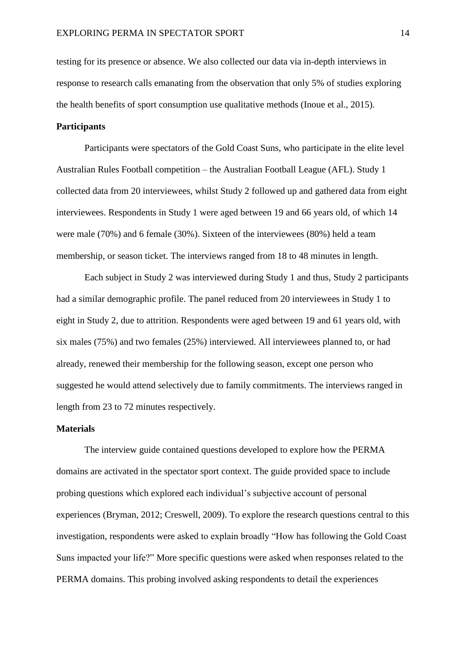testing for its presence or absence. We also collected our data via in-depth interviews in response to research calls emanating from the observation that only 5% of studies exploring the health benefits of sport consumption use qualitative methods (Inoue et al., 2015).

## **Participants**

Participants were spectators of the Gold Coast Suns, who participate in the elite level Australian Rules Football competition – the Australian Football League (AFL). Study 1 collected data from 20 interviewees, whilst Study 2 followed up and gathered data from eight interviewees. Respondents in Study 1 were aged between 19 and 66 years old, of which 14 were male (70%) and 6 female (30%). Sixteen of the interviewees (80%) held a team membership, or season ticket. The interviews ranged from 18 to 48 minutes in length.

Each subject in Study 2 was interviewed during Study 1 and thus, Study 2 participants had a similar demographic profile. The panel reduced from 20 interviewees in Study 1 to eight in Study 2, due to attrition. Respondents were aged between 19 and 61 years old, with six males (75%) and two females (25%) interviewed. All interviewees planned to, or had already, renewed their membership for the following season, except one person who suggested he would attend selectively due to family commitments. The interviews ranged in length from 23 to 72 minutes respectively.

# **Materials**

The interview guide contained questions developed to explore how the PERMA domains are activated in the spectator sport context. The guide provided space to include probing questions which explored each individual's subjective account of personal experiences (Bryman, 2012; Creswell, 2009). To explore the research questions central to this investigation, respondents were asked to explain broadly "How has following the Gold Coast Suns impacted your life?" More specific questions were asked when responses related to the PERMA domains. This probing involved asking respondents to detail the experiences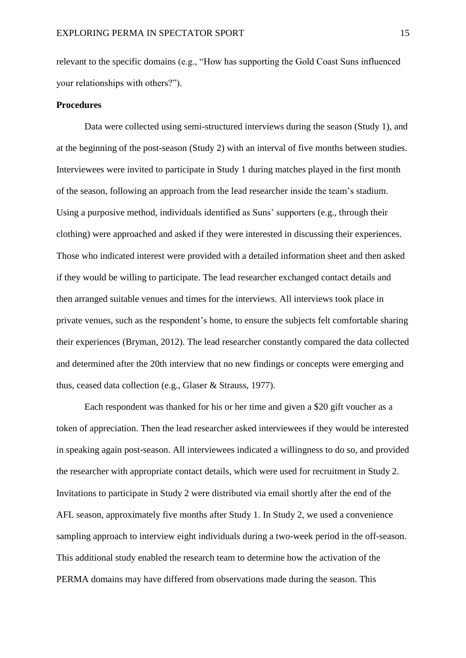relevant to the specific domains (e.g., "How has supporting the Gold Coast Suns influenced your relationships with others?").

## **Procedures**

Data were collected using semi-structured interviews during the season (Study 1), and at the beginning of the post-season (Study 2) with an interval of five months between studies. Interviewees were invited to participate in Study 1 during matches played in the first month of the season, following an approach from the lead researcher inside the team's stadium. Using a purposive method, individuals identified as Suns' supporters (e.g., through their clothing) were approached and asked if they were interested in discussing their experiences. Those who indicated interest were provided with a detailed information sheet and then asked if they would be willing to participate. The lead researcher exchanged contact details and then arranged suitable venues and times for the interviews. All interviews took place in private venues, such as the respondent's home, to ensure the subjects felt comfortable sharing their experiences (Bryman, 2012). The lead researcher constantly compared the data collected and determined after the 20th interview that no new findings or concepts were emerging and thus, ceased data collection (e.g., Glaser & Strauss, 1977).

Each respondent was thanked for his or her time and given a \$20 gift voucher as a token of appreciation. Then the lead researcher asked interviewees if they would be interested in speaking again post-season. All interviewees indicated a willingness to do so, and provided the researcher with appropriate contact details, which were used for recruitment in Study 2. Invitations to participate in Study 2 were distributed via email shortly after the end of the AFL season, approximately five months after Study 1. In Study 2, we used a convenience sampling approach to interview eight individuals during a two-week period in the off-season. This additional study enabled the research team to determine how the activation of the PERMA domains may have differed from observations made during the season. This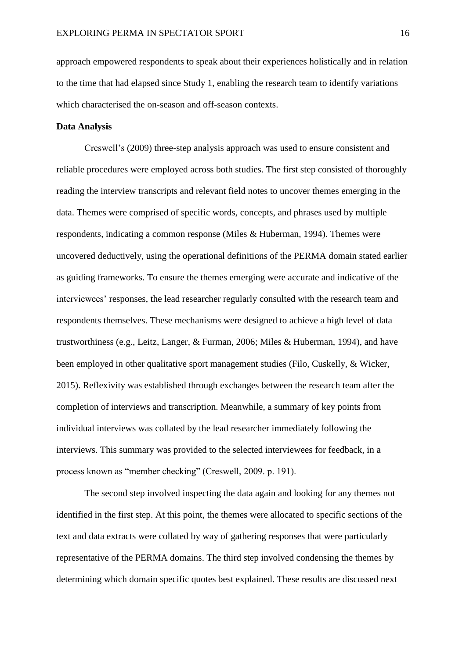approach empowered respondents to speak about their experiences holistically and in relation to the time that had elapsed since Study 1, enabling the research team to identify variations which characterised the on-season and off-season contexts.

## **Data Analysis**

Creswell's (2009) three-step analysis approach was used to ensure consistent and reliable procedures were employed across both studies. The first step consisted of thoroughly reading the interview transcripts and relevant field notes to uncover themes emerging in the data. Themes were comprised of specific words, concepts, and phrases used by multiple respondents, indicating a common response (Miles & Huberman, 1994). Themes were uncovered deductively, using the operational definitions of the PERMA domain stated earlier as guiding frameworks. To ensure the themes emerging were accurate and indicative of the interviewees' responses, the lead researcher regularly consulted with the research team and respondents themselves. These mechanisms were designed to achieve a high level of data trustworthiness (e.g., Leitz, Langer, & Furman, 2006; Miles & Huberman, 1994), and have been employed in other qualitative sport management studies (Filo, Cuskelly, & Wicker, 2015). Reflexivity was established through exchanges between the research team after the completion of interviews and transcription. Meanwhile, a summary of key points from individual interviews was collated by the lead researcher immediately following the interviews. This summary was provided to the selected interviewees for feedback, in a process known as "member checking" (Creswell, 2009. p. 191).

The second step involved inspecting the data again and looking for any themes not identified in the first step. At this point, the themes were allocated to specific sections of the text and data extracts were collated by way of gathering responses that were particularly representative of the PERMA domains. The third step involved condensing the themes by determining which domain specific quotes best explained. These results are discussed next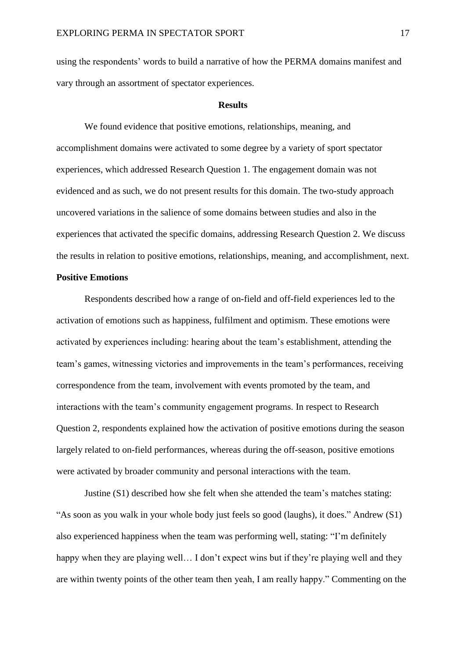using the respondents' words to build a narrative of how the PERMA domains manifest and vary through an assortment of spectator experiences.

#### **Results**

We found evidence that positive emotions, relationships, meaning, and accomplishment domains were activated to some degree by a variety of sport spectator experiences, which addressed Research Question 1. The engagement domain was not evidenced and as such, we do not present results for this domain. The two-study approach uncovered variations in the salience of some domains between studies and also in the experiences that activated the specific domains, addressing Research Question 2. We discuss the results in relation to positive emotions, relationships, meaning, and accomplishment, next.

# **Positive Emotions**

Respondents described how a range of on-field and off-field experiences led to the activation of emotions such as happiness, fulfilment and optimism. These emotions were activated by experiences including: hearing about the team's establishment, attending the team's games, witnessing victories and improvements in the team's performances, receiving correspondence from the team, involvement with events promoted by the team, and interactions with the team's community engagement programs. In respect to Research Question 2, respondents explained how the activation of positive emotions during the season largely related to on-field performances, whereas during the off-season, positive emotions were activated by broader community and personal interactions with the team.

Justine (S1) described how she felt when she attended the team's matches stating: "As soon as you walk in your whole body just feels so good (laughs), it does." Andrew (S1) also experienced happiness when the team was performing well, stating: "I'm definitely happy when they are playing well... I don't expect wins but if they're playing well and they are within twenty points of the other team then yeah, I am really happy." Commenting on the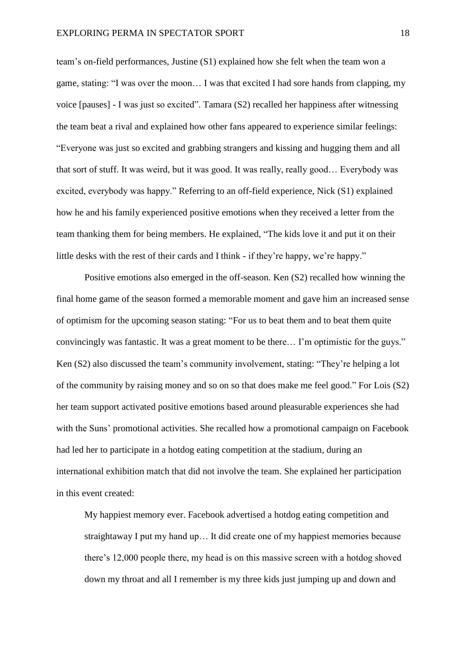team's on-field performances, Justine (S1) explained how she felt when the team won a game, stating: "I was over the moon… I was that excited I had sore hands from clapping, my voice [pauses] - I was just so excited". Tamara (S2) recalled her happiness after witnessing the team beat a rival and explained how other fans appeared to experience similar feelings: "Everyone was just so excited and grabbing strangers and kissing and hugging them and all that sort of stuff. It was weird, but it was good. It was really, really good… Everybody was excited, everybody was happy." Referring to an off-field experience, Nick (S1) explained how he and his family experienced positive emotions when they received a letter from the team thanking them for being members. He explained, "The kids love it and put it on their little desks with the rest of their cards and I think - if they're happy, we're happy."

Positive emotions also emerged in the off-season. Ken (S2) recalled how winning the final home game of the season formed a memorable moment and gave him an increased sense of optimism for the upcoming season stating: "For us to beat them and to beat them quite convincingly was fantastic. It was a great moment to be there… I'm optimistic for the guys." Ken (S2) also discussed the team's community involvement, stating: "They're helping a lot of the community by raising money and so on so that does make me feel good." For Lois (S2) her team support activated positive emotions based around pleasurable experiences she had with the Suns' promotional activities. She recalled how a promotional campaign on Facebook had led her to participate in a hotdog eating competition at the stadium, during an international exhibition match that did not involve the team. She explained her participation in this event created:

My happiest memory ever. Facebook advertised a hotdog eating competition and straightaway I put my hand up… It did create one of my happiest memories because there's 12,000 people there, my head is on this massive screen with a hotdog shoved down my throat and all I remember is my three kids just jumping up and down and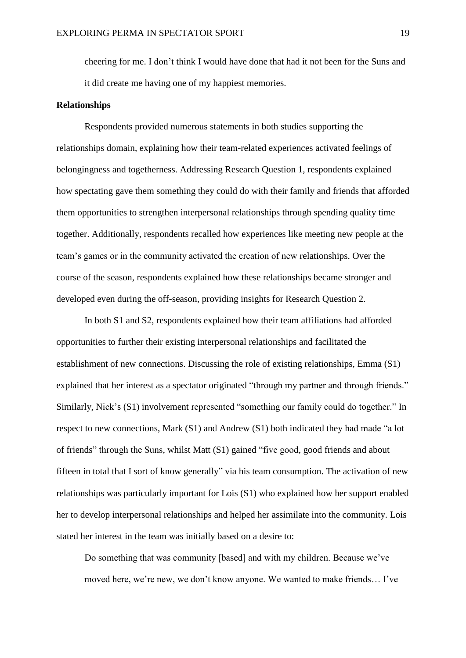cheering for me. I don't think I would have done that had it not been for the Suns and it did create me having one of my happiest memories.

## **Relationships**

Respondents provided numerous statements in both studies supporting the relationships domain, explaining how their team-related experiences activated feelings of belongingness and togetherness. Addressing Research Question 1, respondents explained how spectating gave them something they could do with their family and friends that afforded them opportunities to strengthen interpersonal relationships through spending quality time together. Additionally, respondents recalled how experiences like meeting new people at the team's games or in the community activated the creation of new relationships. Over the course of the season, respondents explained how these relationships became stronger and developed even during the off-season, providing insights for Research Question 2.

In both S1 and S2, respondents explained how their team affiliations had afforded opportunities to further their existing interpersonal relationships and facilitated the establishment of new connections. Discussing the role of existing relationships, Emma (S1) explained that her interest as a spectator originated "through my partner and through friends." Similarly, Nick's (S1) involvement represented "something our family could do together." In respect to new connections, Mark (S1) and Andrew (S1) both indicated they had made "a lot of friends" through the Suns, whilst Matt (S1) gained "five good, good friends and about fifteen in total that I sort of know generally" via his team consumption. The activation of new relationships was particularly important for Lois (S1) who explained how her support enabled her to develop interpersonal relationships and helped her assimilate into the community. Lois stated her interest in the team was initially based on a desire to:

Do something that was community [based] and with my children. Because we've moved here, we're new, we don't know anyone. We wanted to make friends… I've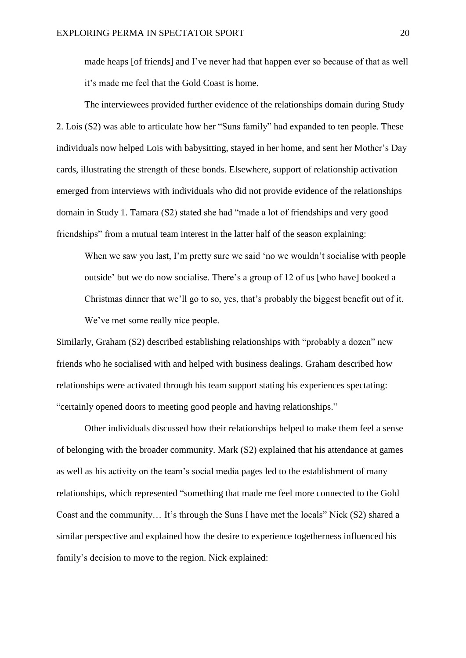made heaps [of friends] and I've never had that happen ever so because of that as well it's made me feel that the Gold Coast is home.

The interviewees provided further evidence of the relationships domain during Study 2. Lois (S2) was able to articulate how her "Suns family" had expanded to ten people. These individuals now helped Lois with babysitting, stayed in her home, and sent her Mother's Day cards, illustrating the strength of these bonds. Elsewhere, support of relationship activation emerged from interviews with individuals who did not provide evidence of the relationships domain in Study 1. Tamara (S2) stated she had "made a lot of friendships and very good friendships" from a mutual team interest in the latter half of the season explaining:

When we saw you last, I'm pretty sure we said 'no we wouldn't socialise with people outside' but we do now socialise. There's a group of 12 of us [who have] booked a Christmas dinner that we'll go to so, yes, that's probably the biggest benefit out of it. We've met some really nice people.

Similarly, Graham (S2) described establishing relationships with "probably a dozen" new friends who he socialised with and helped with business dealings. Graham described how relationships were activated through his team support stating his experiences spectating: "certainly opened doors to meeting good people and having relationships."

Other individuals discussed how their relationships helped to make them feel a sense of belonging with the broader community. Mark (S2) explained that his attendance at games as well as his activity on the team's social media pages led to the establishment of many relationships, which represented "something that made me feel more connected to the Gold Coast and the community… It's through the Suns I have met the locals" Nick (S2) shared a similar perspective and explained how the desire to experience togetherness influenced his family's decision to move to the region. Nick explained: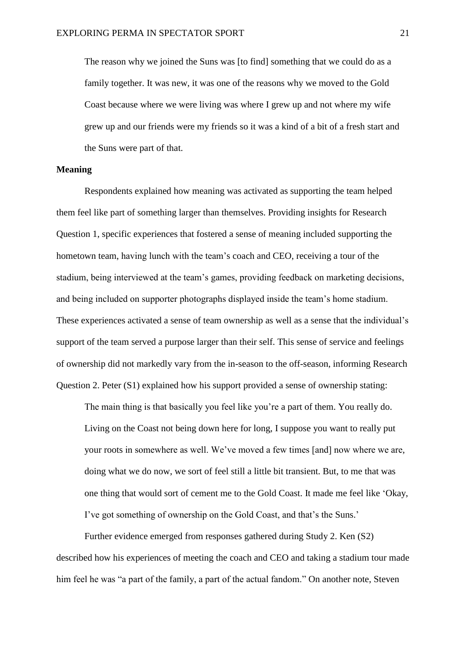The reason why we joined the Suns was [to find] something that we could do as a family together. It was new, it was one of the reasons why we moved to the Gold Coast because where we were living was where I grew up and not where my wife grew up and our friends were my friends so it was a kind of a bit of a fresh start and the Suns were part of that.

## **Meaning**

Respondents explained how meaning was activated as supporting the team helped them feel like part of something larger than themselves. Providing insights for Research Question 1, specific experiences that fostered a sense of meaning included supporting the hometown team, having lunch with the team's coach and CEO, receiving a tour of the stadium, being interviewed at the team's games, providing feedback on marketing decisions, and being included on supporter photographs displayed inside the team's home stadium. These experiences activated a sense of team ownership as well as a sense that the individual's support of the team served a purpose larger than their self. This sense of service and feelings of ownership did not markedly vary from the in-season to the off-season, informing Research Question 2. Peter (S1) explained how his support provided a sense of ownership stating:

The main thing is that basically you feel like you're a part of them. You really do. Living on the Coast not being down here for long, I suppose you want to really put your roots in somewhere as well. We've moved a few times [and] now where we are, doing what we do now, we sort of feel still a little bit transient. But, to me that was one thing that would sort of cement me to the Gold Coast. It made me feel like 'Okay, I've got something of ownership on the Gold Coast, and that's the Suns.'

Further evidence emerged from responses gathered during Study 2. Ken (S2) described how his experiences of meeting the coach and CEO and taking a stadium tour made him feel he was "a part of the family, a part of the actual fandom." On another note, Steven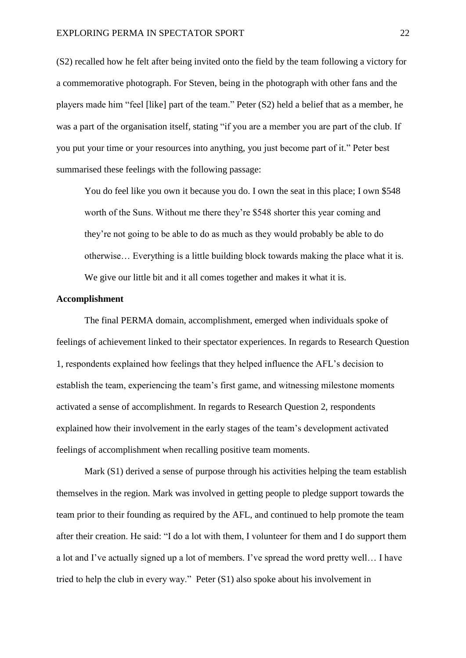(S2) recalled how he felt after being invited onto the field by the team following a victory for a commemorative photograph. For Steven, being in the photograph with other fans and the players made him "feel [like] part of the team." Peter (S2) held a belief that as a member, he was a part of the organisation itself, stating "if you are a member you are part of the club. If you put your time or your resources into anything, you just become part of it." Peter best summarised these feelings with the following passage:

You do feel like you own it because you do. I own the seat in this place; I own \$548 worth of the Suns. Without me there they're \$548 shorter this year coming and they're not going to be able to do as much as they would probably be able to do otherwise… Everything is a little building block towards making the place what it is. We give our little bit and it all comes together and makes it what it is.

## **Accomplishment**

The final PERMA domain, accomplishment, emerged when individuals spoke of feelings of achievement linked to their spectator experiences. In regards to Research Question 1, respondents explained how feelings that they helped influence the AFL's decision to establish the team, experiencing the team's first game, and witnessing milestone moments activated a sense of accomplishment. In regards to Research Question 2, respondents explained how their involvement in the early stages of the team's development activated feelings of accomplishment when recalling positive team moments.

Mark (S1) derived a sense of purpose through his activities helping the team establish themselves in the region. Mark was involved in getting people to pledge support towards the team prior to their founding as required by the AFL, and continued to help promote the team after their creation. He said: "I do a lot with them, I volunteer for them and I do support them a lot and I've actually signed up a lot of members. I've spread the word pretty well… I have tried to help the club in every way." Peter (S1) also spoke about his involvement in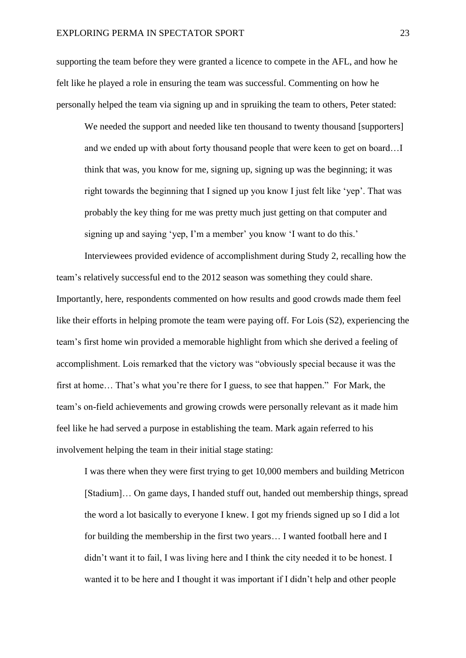supporting the team before they were granted a licence to compete in the AFL, and how he felt like he played a role in ensuring the team was successful. Commenting on how he personally helped the team via signing up and in spruiking the team to others, Peter stated:

We needed the support and needed like ten thousand to twenty thousand [supporters] and we ended up with about forty thousand people that were keen to get on board…I think that was, you know for me, signing up, signing up was the beginning; it was right towards the beginning that I signed up you know I just felt like 'yep'. That was probably the key thing for me was pretty much just getting on that computer and signing up and saying 'yep, I'm a member' you know 'I want to do this.'

Interviewees provided evidence of accomplishment during Study 2, recalling how the team's relatively successful end to the 2012 season was something they could share. Importantly, here, respondents commented on how results and good crowds made them feel like their efforts in helping promote the team were paying off. For Lois (S2), experiencing the team's first home win provided a memorable highlight from which she derived a feeling of accomplishment. Lois remarked that the victory was "obviously special because it was the first at home… That's what you're there for I guess, to see that happen." For Mark, the team's on-field achievements and growing crowds were personally relevant as it made him feel like he had served a purpose in establishing the team. Mark again referred to his involvement helping the team in their initial stage stating:

I was there when they were first trying to get 10,000 members and building Metricon [Stadium]… On game days, I handed stuff out, handed out membership things, spread the word a lot basically to everyone I knew. I got my friends signed up so I did a lot for building the membership in the first two years… I wanted football here and I didn't want it to fail, I was living here and I think the city needed it to be honest. I wanted it to be here and I thought it was important if I didn't help and other people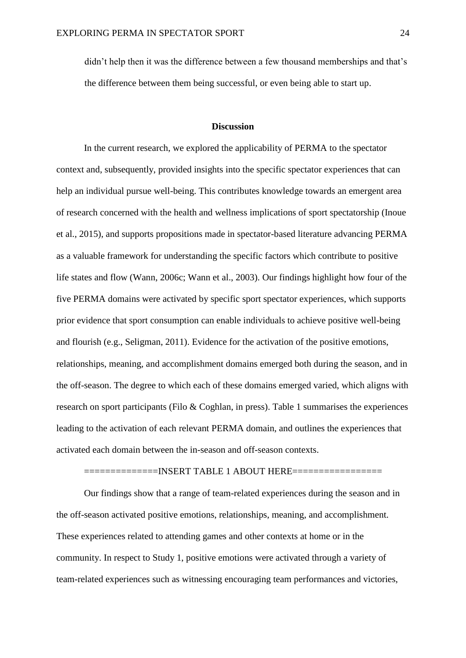didn't help then it was the difference between a few thousand memberships and that's the difference between them being successful, or even being able to start up.

# **Discussion**

In the current research, we explored the applicability of PERMA to the spectator context and, subsequently, provided insights into the specific spectator experiences that can help an individual pursue well-being. This contributes knowledge towards an emergent area of research concerned with the health and wellness implications of sport spectatorship (Inoue et al., 2015), and supports propositions made in spectator-based literature advancing PERMA as a valuable framework for understanding the specific factors which contribute to positive life states and flow (Wann, 2006c; Wann et al., 2003). Our findings highlight how four of the five PERMA domains were activated by specific sport spectator experiences, which supports prior evidence that sport consumption can enable individuals to achieve positive well-being and flourish (e.g., Seligman, 2011). Evidence for the activation of the positive emotions, relationships, meaning, and accomplishment domains emerged both during the season, and in the off-season. The degree to which each of these domains emerged varied, which aligns with research on sport participants (Filo & Coghlan, in press). Table 1 summarises the experiences leading to the activation of each relevant PERMA domain, and outlines the experiences that activated each domain between the in-season and off-season contexts.

#### ==============INSERT TABLE 1 ABOUT HERE=================

Our findings show that a range of team-related experiences during the season and in the off-season activated positive emotions, relationships, meaning, and accomplishment. These experiences related to attending games and other contexts at home or in the community. In respect to Study 1, positive emotions were activated through a variety of team-related experiences such as witnessing encouraging team performances and victories,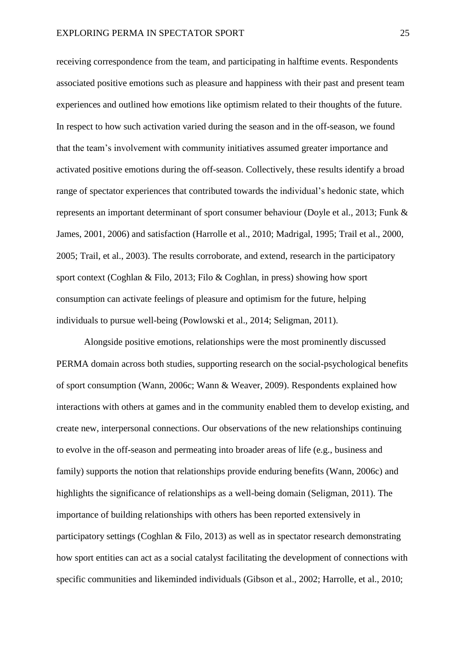receiving correspondence from the team, and participating in halftime events. Respondents associated positive emotions such as pleasure and happiness with their past and present team experiences and outlined how emotions like optimism related to their thoughts of the future. In respect to how such activation varied during the season and in the off-season, we found that the team's involvement with community initiatives assumed greater importance and activated positive emotions during the off-season. Collectively, these results identify a broad range of spectator experiences that contributed towards the individual's hedonic state, which represents an important determinant of sport consumer behaviour (Doyle et al., 2013; Funk & James, 2001, 2006) and satisfaction (Harrolle et al., 2010; Madrigal, 1995; Trail et al., 2000, 2005; Trail, et al., 2003). The results corroborate, and extend, research in the participatory sport context (Coghlan & Filo, 2013; Filo & Coghlan, in press) showing how sport consumption can activate feelings of pleasure and optimism for the future, helping individuals to pursue well-being (Powlowski et al., 2014; Seligman, 2011).

Alongside positive emotions, relationships were the most prominently discussed PERMA domain across both studies, supporting research on the social-psychological benefits of sport consumption (Wann, 2006c; Wann & Weaver, 2009). Respondents explained how interactions with others at games and in the community enabled them to develop existing, and create new, interpersonal connections. Our observations of the new relationships continuing to evolve in the off-season and permeating into broader areas of life (e.g., business and family) supports the notion that relationships provide enduring benefits (Wann, 2006c) and highlights the significance of relationships as a well-being domain (Seligman, 2011). The importance of building relationships with others has been reported extensively in participatory settings (Coghlan & Filo, 2013) as well as in spectator research demonstrating how sport entities can act as a social catalyst facilitating the development of connections with specific communities and likeminded individuals (Gibson et al., 2002; Harrolle, et al., 2010;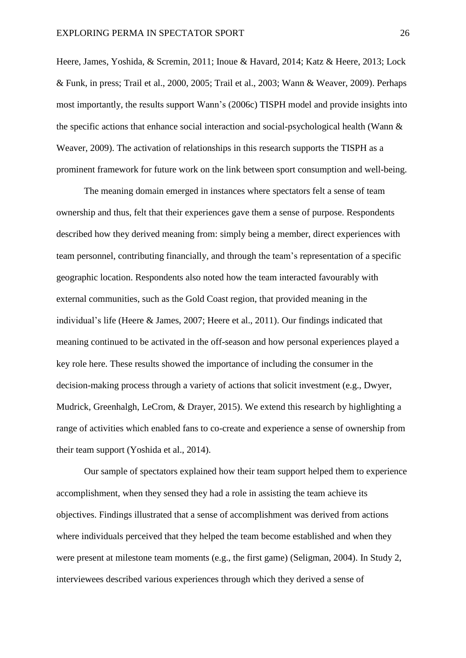Heere, James, Yoshida, & Scremin, 2011; Inoue & Havard, 2014; Katz & Heere, 2013; Lock & Funk, in press; Trail et al., 2000, 2005; Trail et al., 2003; Wann & Weaver, 2009). Perhaps most importantly, the results support Wann's (2006c) TISPH model and provide insights into the specific actions that enhance social interaction and social-psychological health (Wann & Weaver, 2009). The activation of relationships in this research supports the TISPH as a prominent framework for future work on the link between sport consumption and well-being.

The meaning domain emerged in instances where spectators felt a sense of team ownership and thus, felt that their experiences gave them a sense of purpose. Respondents described how they derived meaning from: simply being a member, direct experiences with team personnel, contributing financially, and through the team's representation of a specific geographic location. Respondents also noted how the team interacted favourably with external communities, such as the Gold Coast region, that provided meaning in the individual's life (Heere & James, 2007; Heere et al., 2011). Our findings indicated that meaning continued to be activated in the off-season and how personal experiences played a key role here. These results showed the importance of including the consumer in the decision-making process through a variety of actions that solicit investment (e.g., Dwyer, Mudrick, Greenhalgh, LeCrom, & Drayer, 2015). We extend this research by highlighting a range of activities which enabled fans to co-create and experience a sense of ownership from their team support (Yoshida et al., 2014).

Our sample of spectators explained how their team support helped them to experience accomplishment, when they sensed they had a role in assisting the team achieve its objectives. Findings illustrated that a sense of accomplishment was derived from actions where individuals perceived that they helped the team become established and when they were present at milestone team moments (e.g., the first game) (Seligman, 2004). In Study 2, interviewees described various experiences through which they derived a sense of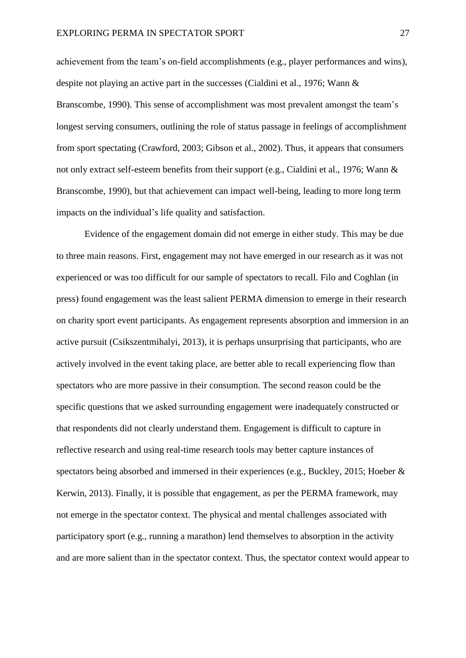achievement from the team's on-field accomplishments (e.g., player performances and wins), despite not playing an active part in the successes (Cialdini et al., 1976; Wann & Branscombe, 1990). This sense of accomplishment was most prevalent amongst the team's longest serving consumers, outlining the role of status passage in feelings of accomplishment from sport spectating (Crawford, 2003; Gibson et al., 2002). Thus, it appears that consumers not only extract self-esteem benefits from their support (e.g., Cialdini et al., 1976; Wann & Branscombe, 1990), but that achievement can impact well-being, leading to more long term impacts on the individual's life quality and satisfaction.

Evidence of the engagement domain did not emerge in either study. This may be due to three main reasons. First, engagement may not have emerged in our research as it was not experienced or was too difficult for our sample of spectators to recall. Filo and Coghlan (in press) found engagement was the least salient PERMA dimension to emerge in their research on charity sport event participants. As engagement represents absorption and immersion in an active pursuit (Csikszentmihalyi, 2013), it is perhaps unsurprising that participants, who are actively involved in the event taking place, are better able to recall experiencing flow than spectators who are more passive in their consumption. The second reason could be the specific questions that we asked surrounding engagement were inadequately constructed or that respondents did not clearly understand them. Engagement is difficult to capture in reflective research and using real-time research tools may better capture instances of spectators being absorbed and immersed in their experiences (e.g., Buckley, 2015; Hoeber & Kerwin, 2013). Finally, it is possible that engagement, as per the PERMA framework, may not emerge in the spectator context. The physical and mental challenges associated with participatory sport (e.g., running a marathon) lend themselves to absorption in the activity and are more salient than in the spectator context. Thus, the spectator context would appear to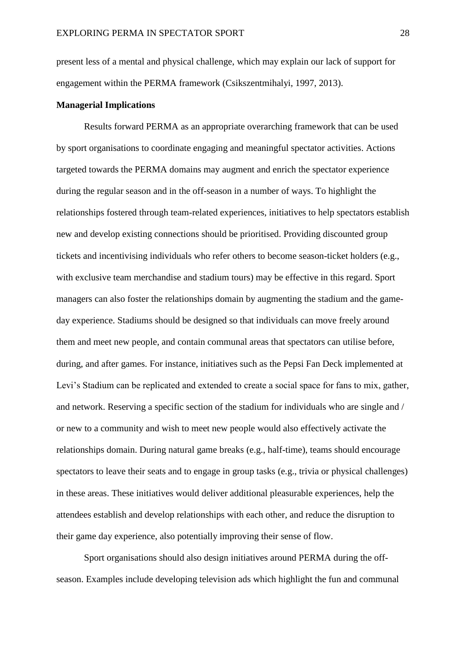present less of a mental and physical challenge, which may explain our lack of support for engagement within the PERMA framework (Csikszentmihalyi, 1997, 2013).

## **Managerial Implications**

Results forward PERMA as an appropriate overarching framework that can be used by sport organisations to coordinate engaging and meaningful spectator activities. Actions targeted towards the PERMA domains may augment and enrich the spectator experience during the regular season and in the off-season in a number of ways. To highlight the relationships fostered through team-related experiences, initiatives to help spectators establish new and develop existing connections should be prioritised. Providing discounted group tickets and incentivising individuals who refer others to become season-ticket holders (e.g., with exclusive team merchandise and stadium tours) may be effective in this regard. Sport managers can also foster the relationships domain by augmenting the stadium and the gameday experience. Stadiums should be designed so that individuals can move freely around them and meet new people, and contain communal areas that spectators can utilise before, during, and after games. For instance, initiatives such as the Pepsi Fan Deck implemented at Levi's Stadium can be replicated and extended to create a social space for fans to mix, gather, and network. Reserving a specific section of the stadium for individuals who are single and / or new to a community and wish to meet new people would also effectively activate the relationships domain. During natural game breaks (e.g., half-time), teams should encourage spectators to leave their seats and to engage in group tasks (e.g., trivia or physical challenges) in these areas. These initiatives would deliver additional pleasurable experiences, help the attendees establish and develop relationships with each other, and reduce the disruption to their game day experience, also potentially improving their sense of flow.

Sport organisations should also design initiatives around PERMA during the offseason. Examples include developing television ads which highlight the fun and communal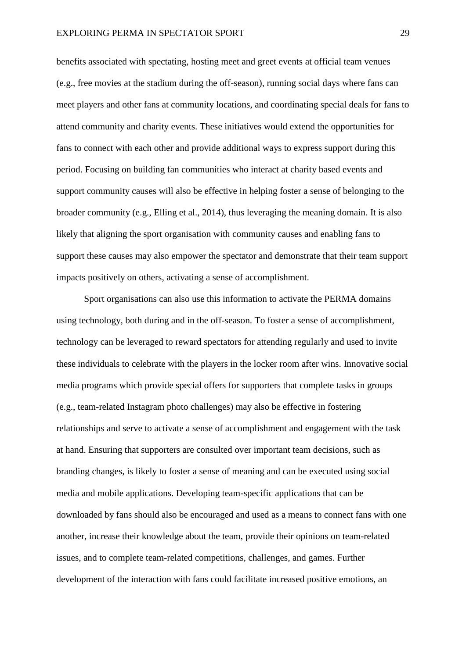benefits associated with spectating, hosting meet and greet events at official team venues (e.g., free movies at the stadium during the off-season), running social days where fans can meet players and other fans at community locations, and coordinating special deals for fans to attend community and charity events. These initiatives would extend the opportunities for fans to connect with each other and provide additional ways to express support during this period. Focusing on building fan communities who interact at charity based events and support community causes will also be effective in helping foster a sense of belonging to the broader community (e.g., Elling et al., 2014), thus leveraging the meaning domain. It is also likely that aligning the sport organisation with community causes and enabling fans to support these causes may also empower the spectator and demonstrate that their team support impacts positively on others, activating a sense of accomplishment.

Sport organisations can also use this information to activate the PERMA domains using technology, both during and in the off-season. To foster a sense of accomplishment, technology can be leveraged to reward spectators for attending regularly and used to invite these individuals to celebrate with the players in the locker room after wins. Innovative social media programs which provide special offers for supporters that complete tasks in groups (e.g., team-related Instagram photo challenges) may also be effective in fostering relationships and serve to activate a sense of accomplishment and engagement with the task at hand. Ensuring that supporters are consulted over important team decisions, such as branding changes, is likely to foster a sense of meaning and can be executed using social media and mobile applications. Developing team-specific applications that can be downloaded by fans should also be encouraged and used as a means to connect fans with one another, increase their knowledge about the team, provide their opinions on team-related issues, and to complete team-related competitions, challenges, and games. Further development of the interaction with fans could facilitate increased positive emotions, an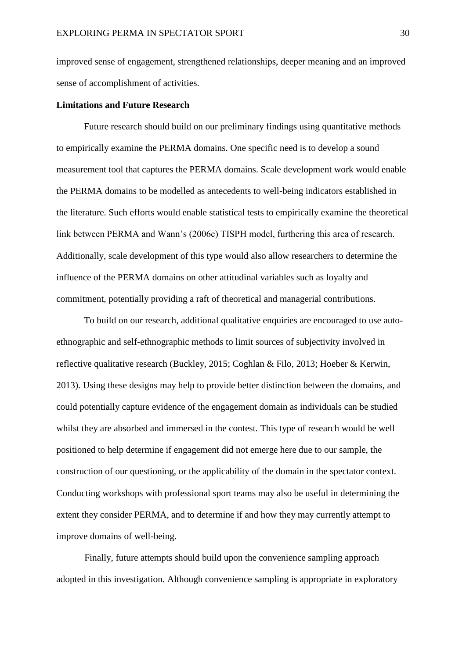improved sense of engagement, strengthened relationships, deeper meaning and an improved sense of accomplishment of activities.

## **Limitations and Future Research**

Future research should build on our preliminary findings using quantitative methods to empirically examine the PERMA domains. One specific need is to develop a sound measurement tool that captures the PERMA domains. Scale development work would enable the PERMA domains to be modelled as antecedents to well-being indicators established in the literature. Such efforts would enable statistical tests to empirically examine the theoretical link between PERMA and Wann's (2006c) TISPH model, furthering this area of research. Additionally, scale development of this type would also allow researchers to determine the influence of the PERMA domains on other attitudinal variables such as loyalty and commitment, potentially providing a raft of theoretical and managerial contributions.

To build on our research, additional qualitative enquiries are encouraged to use autoethnographic and self-ethnographic methods to limit sources of subjectivity involved in reflective qualitative research (Buckley, 2015; Coghlan & Filo, 2013; Hoeber & Kerwin, 2013). Using these designs may help to provide better distinction between the domains, and could potentially capture evidence of the engagement domain as individuals can be studied whilst they are absorbed and immersed in the contest. This type of research would be well positioned to help determine if engagement did not emerge here due to our sample, the construction of our questioning, or the applicability of the domain in the spectator context. Conducting workshops with professional sport teams may also be useful in determining the extent they consider PERMA, and to determine if and how they may currently attempt to improve domains of well-being.

Finally, future attempts should build upon the convenience sampling approach adopted in this investigation. Although convenience sampling is appropriate in exploratory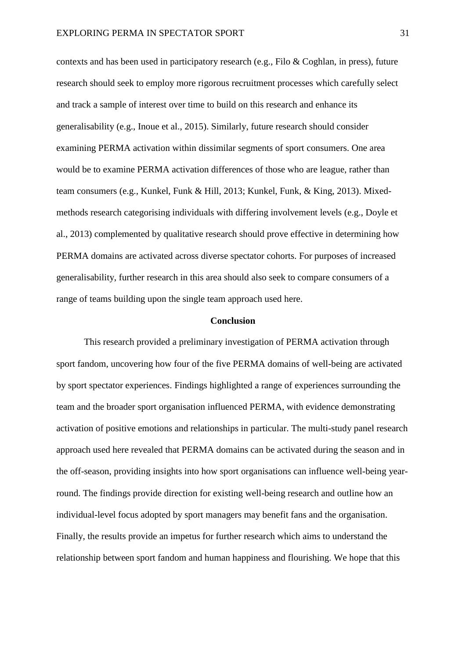contexts and has been used in participatory research (e.g., Filo & Coghlan, in press), future research should seek to employ more rigorous recruitment processes which carefully select and track a sample of interest over time to build on this research and enhance its generalisability (e.g., Inoue et al., 2015). Similarly, future research should consider examining PERMA activation within dissimilar segments of sport consumers. One area would be to examine PERMA activation differences of those who are league, rather than team consumers (e.g., Kunkel, Funk & Hill, 2013; Kunkel, Funk, & King, 2013). Mixedmethods research categorising individuals with differing involvement levels (e.g., Doyle et al., 2013) complemented by qualitative research should prove effective in determining how PERMA domains are activated across diverse spectator cohorts. For purposes of increased generalisability, further research in this area should also seek to compare consumers of a range of teams building upon the single team approach used here.

## **Conclusion**

This research provided a preliminary investigation of PERMA activation through sport fandom, uncovering how four of the five PERMA domains of well-being are activated by sport spectator experiences. Findings highlighted a range of experiences surrounding the team and the broader sport organisation influenced PERMA, with evidence demonstrating activation of positive emotions and relationships in particular. The multi-study panel research approach used here revealed that PERMA domains can be activated during the season and in the off-season, providing insights into how sport organisations can influence well-being yearround. The findings provide direction for existing well-being research and outline how an individual-level focus adopted by sport managers may benefit fans and the organisation. Finally, the results provide an impetus for further research which aims to understand the relationship between sport fandom and human happiness and flourishing. We hope that this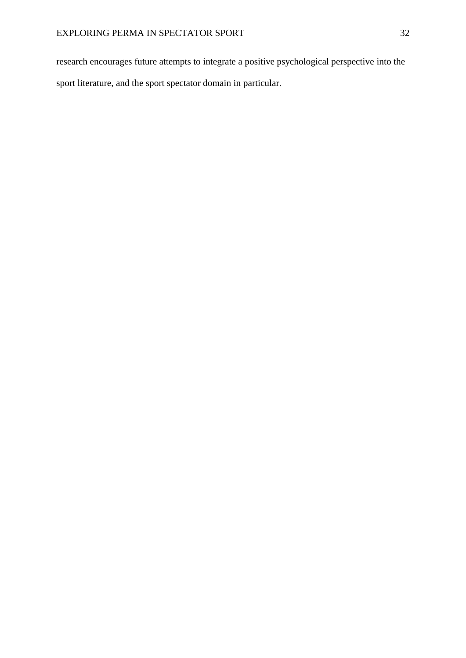research encourages future attempts to integrate a positive psychological perspective into the sport literature, and the sport spectator domain in particular.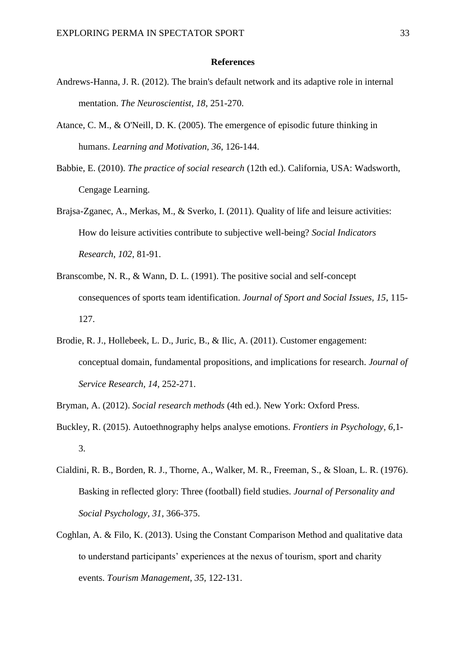#### **References**

- Andrews-Hanna, J. R. (2012). The brain's default network and its adaptive role in internal mentation. *The Neuroscientist, 18*, 251-270.
- Atance, C. M., & O'Neill, D. K. (2005). The emergence of episodic future thinking in humans. *Learning and Motivation, 36*, 126-144.
- Babbie, E. (2010). *The practice of social research* (12th ed.). California, USA: Wadsworth, Cengage Learning.
- Brajsa-Zganec, A., Merkas, M., & Sverko, I. (2011). Quality of life and leisure activities: How do leisure activities contribute to subjective well-being? *Social Indicators Research*, *102*, 81-91.
- Branscombe, N. R., & Wann, D. L. (1991). The positive social and self-concept consequences of sports team identification. *Journal of Sport and Social Issues, 15*, 115- 127.
- Brodie, R. J., Hollebeek, L. D., Juric, B., & Ilic, A. (2011). Customer engagement: conceptual domain, fundamental propositions, and implications for research. *Journal of Service Research, 14,* 252-271.
- Bryman, A. (2012). *Social research methods* (4th ed.). New York: Oxford Press.
- Buckley, R. (2015). Autoethnography helps analyse emotions. *Frontiers in Psychology, 6,*1- 3.
- Cialdini, R. B., Borden, R. J., Thorne, A., Walker, M. R., Freeman, S., & Sloan, L. R. (1976). Basking in reflected glory: Three (football) field studies. *Journal of Personality and Social Psychology, 31*, 366-375.
- Coghlan, A. & Filo, K. (2013). Using the Constant Comparison Method and qualitative data to understand participants' experiences at the nexus of tourism, sport and charity events. *Tourism Management*, *35,* 122-131.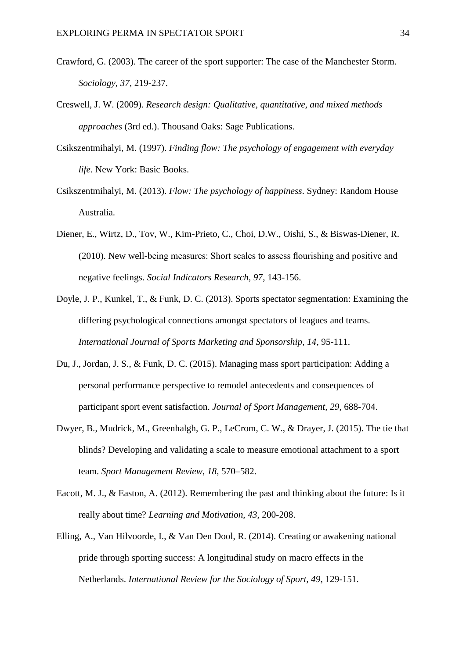- Crawford, G. (2003). The career of the sport supporter: The case of the Manchester Storm. *Sociology, 37*, 219-237.
- Creswell, J. W. (2009). *Research design: Qualitative, quantitative, and mixed methods approaches* (3rd ed.). Thousand Oaks: Sage Publications.
- Csikszentmihalyi, M. (1997). *Finding flow: The psychology of engagement with everyday life.* New York: Basic Books.
- Csikszentmihalyi, M. (2013). *Flow: The psychology of happiness*. Sydney: Random House Australia.
- Diener, E., Wirtz, D., Tov, W., Kim-Prieto, C., Choi, D.W., Oishi, S., & Biswas-Diener, R. (2010). New well-being measures: Short scales to assess flourishing and positive and negative feelings. *Social Indicators Research, 97*, 143-156.
- Doyle, J. P., Kunkel, T., & Funk, D. C. (2013). Sports spectator segmentation: Examining the differing psychological connections amongst spectators of leagues and teams. *International Journal of Sports Marketing and Sponsorship, 14*, 95-111.
- Du, J., Jordan, J. S., & Funk, D. C. (2015). Managing mass sport participation: Adding a personal performance perspective to remodel antecedents and consequences of participant sport event satisfaction. *Journal of Sport Management, 29*, 688-704.
- Dwyer, B., Mudrick, M., Greenhalgh, G. P., LeCrom, C. W., & Drayer, J. (2015). The tie that blinds? Developing and validating a scale to measure emotional attachment to a sport team. *Sport Management Review*, *18,* 570–582.
- Eacott, M. J., & Easton, A. (2012). Remembering the past and thinking about the future: Is it really about time? *Learning and Motivation, 43*, 200-208.
- Elling, A., Van Hilvoorde, I., & Van Den Dool, R. (2014). Creating or awakening national pride through sporting success: A longitudinal study on macro effects in the Netherlands. *International Review for the Sociology of Sport, 49*, 129-151.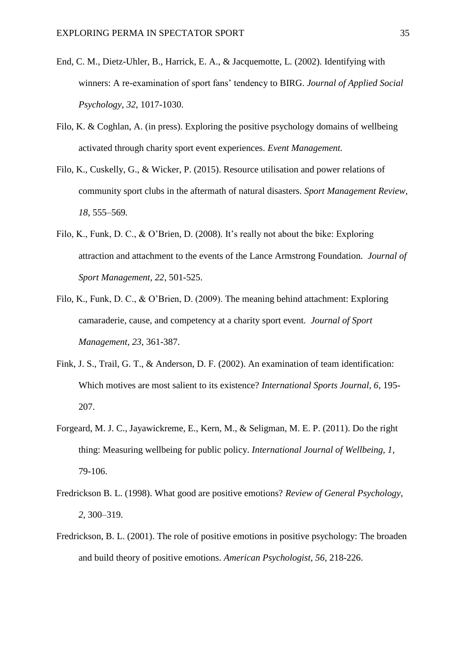- End, C. M., Dietz-Uhler, B., Harrick, E. A., & Jacquemotte, L. (2002). Identifying with winners: A re-examination of sport fans' tendency to BIRG. *Journal of Applied Social Psychology, 32*, 1017-1030.
- Filo, K. & Coghlan, A. (in press). Exploring the positive psychology domains of wellbeing activated through charity sport event experiences. *Event Management.*
- Filo, K., Cuskelly, G., & Wicker, P. (2015). Resource utilisation and power relations of community sport clubs in the aftermath of natural disasters. *Sport Management Review, 18,* 555–569*.*
- Filo, K., Funk, D. C., & O'Brien, D. (2008). It's really not about the bike: Exploring attraction and attachment to the events of the Lance Armstrong Foundation. *Journal of Sport Management, 22*, 501-525.
- Filo, K., Funk, D. C., & O'Brien, D. (2009). The meaning behind attachment: Exploring camaraderie, cause, and competency at a charity sport event. *Journal of Sport Management, 23*, 361-387.
- Fink, J. S., Trail, G. T., & Anderson, D. F. (2002). An examination of team identification: Which motives are most salient to its existence? *International Sports Journal, 6*, 195- 207.
- Forgeard, M. J. C., Jayawickreme, E., Kern, M., & Seligman, M. E. P. (2011). Do the right thing: Measuring wellbeing for public policy. *International Journal of Wellbeing, 1*, 79-106.
- Fredrickson B. L. (1998). What good are positive emotions? *Review of General Psychology*, *2*, 300–319.
- Fredrickson, B. L. (2001). The role of positive emotions in positive psychology: The broaden and build theory of positive emotions. *American Psychologist, 56*, 218-226.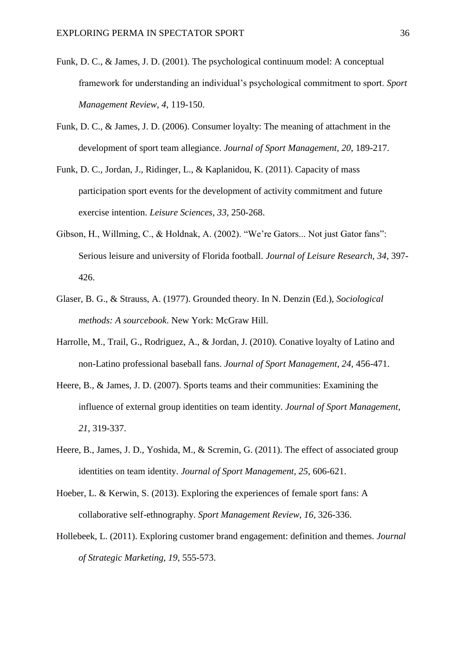- Funk, D. C., & James, J. D. (2001). The psychological continuum model: A conceptual framework for understanding an individual's psychological commitment to sport. *Sport Management Review, 4*, 119-150.
- Funk, D. C., & James, J. D. (2006). Consumer loyalty: The meaning of attachment in the development of sport team allegiance. *Journal of Sport Management, 20*, 189-217.
- Funk, D. C., Jordan, J., Ridinger, L., & Kaplanidou, K. (2011). Capacity of mass participation sport events for the development of activity commitment and future exercise intention. *Leisure Sciences, 33*, 250-268.
- Gibson, H., Willming, C., & Holdnak, A. (2002). "We're Gators... Not just Gator fans": Serious leisure and university of Florida football. *Journal of Leisure Research, 34*, 397- 426.
- Glaser, B. G., & Strauss, A. (1977). Grounded theory. In N. Denzin (Ed.), *Sociological methods: A sourcebook*. New York: McGraw Hill.
- Harrolle, M., Trail, G., Rodriguez, A., & Jordan, J. (2010). Conative loyalty of Latino and non-Latino professional baseball fans. *Journal of Sport Management, 24*, 456-471.
- Heere, B., & James, J. D. (2007). Sports teams and their communities: Examining the influence of external group identities on team identity. *Journal of Sport Management, 21*, 319-337.
- Heere, B., James, J. D., Yoshida, M., & Scremin, G. (2011). The effect of associated group identities on team identity. *Journal of Sport Management, 25*, 606-621.
- Hoeber, L. & Kerwin, S. (2013). Exploring the experiences of female sport fans: A collaborative self-ethnography. *Sport Management Review, 16,* 326-336.
- Hollebeek, L. (2011). Exploring customer brand engagement: definition and themes. *Journal of Strategic Marketing, 19*, 555-573.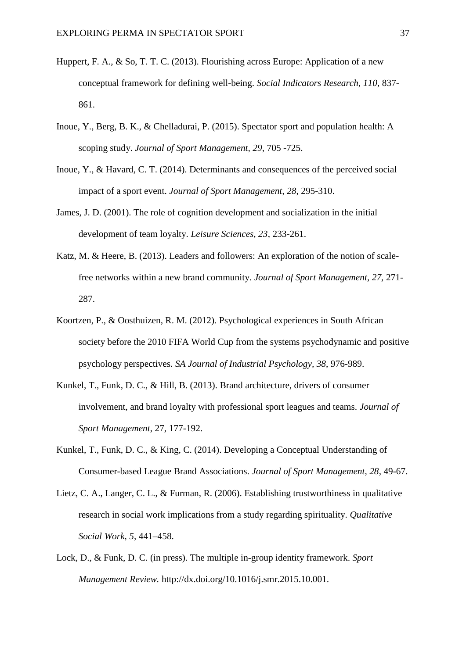- Huppert, F. A., & So, T. T. C. (2013). Flourishing across Europe: Application of a new conceptual framework for defining well-being. *Social Indicators Research, 110*, 837- 861.
- Inoue, Y., Berg, B. K., & Chelladurai, P. (2015). Spectator sport and population health: A scoping study. *Journal of Sport Management, 29*, 705 -725.
- Inoue, Y., & Havard, C. T. (2014). Determinants and consequences of the perceived social impact of a sport event. *Journal of Sport Management, 28*, 295-310.
- James, J. D. (2001). The role of cognition development and socialization in the initial development of team loyalty. *Leisure Sciences, 23*, 233-261.
- Katz, M. & Heere, B. (2013). Leaders and followers: An exploration of the notion of scalefree networks within a new brand community. *Journal of Sport Management, 27,* 271- 287.
- Koortzen, P., & Oosthuizen, R. M. (2012). Psychological experiences in South African society before the 2010 FIFA World Cup from the systems psychodynamic and positive psychology perspectives. *SA Journal of Industrial Psychology, 38*, 976-989.
- Kunkel, T., Funk, D. C., & Hill, B. (2013). Brand architecture, drivers of consumer involvement, and brand loyalty with professional sport leagues and teams. *Journal of Sport Management*, 27, 177-192.
- Kunkel, T., Funk, D. C., & King, C. (2014). Developing a Conceptual Understanding of Consumer-based League Brand Associations. *Journal of Sport Management, 28*, 49-67.
- Lietz, C. A., Langer, C. L., & Furman, R. (2006). Establishing trustworthiness in qualitative research in social work implications from a study regarding spirituality. *Qualitative Social Work, 5,* 441–458.
- Lock, D., & Funk, D. C. (in press). The multiple in-group identity framework. *Sport Management Review.* http://dx.doi.org/10.1016/j.smr.2015.10.001.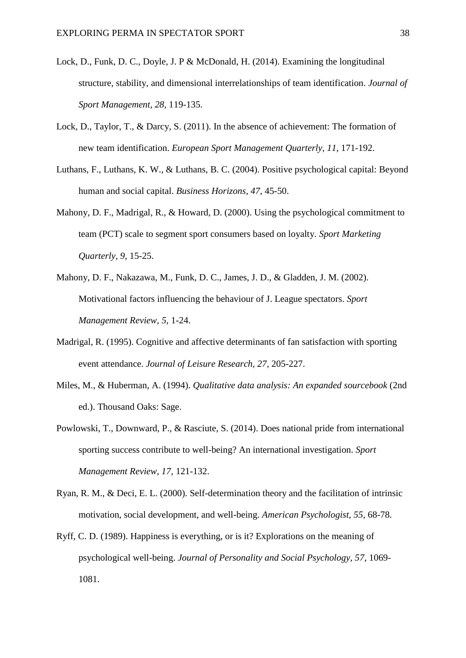- Lock, D., Funk, D. C., Doyle, J. P & McDonald, H. (2014). Examining the longitudinal structure, stability, and dimensional interrelationships of team identification. *Journal of Sport Management, 28,* 119-135.
- Lock, D., Taylor, T., & Darcy, S. (2011). In the absence of achievement: The formation of new team identification. *European Sport Management Quarterly, 11*, 171-192.
- Luthans, F., Luthans, K. W., & Luthans, B. C. (2004). Positive psychological capital: Beyond human and social capital. *Business Horizons, 47*, 45-50.
- Mahony, D. F., Madrigal, R., & Howard, D. (2000). Using the psychological commitment to team (PCT) scale to segment sport consumers based on loyalty. *Sport Marketing Quarterly, 9*, 15-25.
- Mahony, D. F., Nakazawa, M., Funk, D. C., James, J. D., & Gladden, J. M. (2002). Motivational factors influencing the behaviour of J. League spectators. *Sport Management Review, 5*, 1-24.
- Madrigal, R. (1995). Cognitive and affective determinants of fan satisfaction with sporting event attendance. *Journal of Leisure Research, 27*, 205-227.
- Miles, M., & Huberman, A. (1994). *Qualitative data analysis: An expanded sourcebook* (2nd ed.). Thousand Oaks: Sage.
- Powlowski, T., Downward, P., & Rasciute, S. (2014). Does national pride from international sporting success contribute to well-being? An international investigation. *Sport Management Review, 17,* 121-132.
- Ryan, R. M., & Deci, E. L. (2000). Self-determination theory and the facilitation of intrinsic motivation, social development, and well-being. *American Psychologist, 55,* 68-78.
- Ryff, C. D. (1989). Happiness is everything, or is it? Explorations on the meaning of psychological well-being. *Journal of Personality and Social Psychology, 57*, 1069- 1081.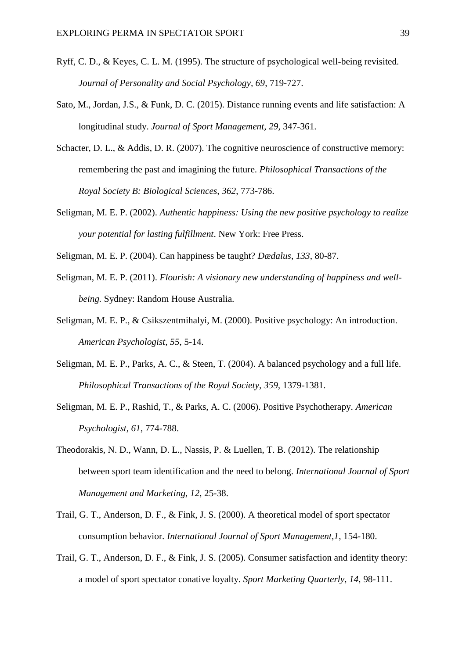- Ryff, C. D., & Keyes, C. L. M. (1995). The structure of psychological well-being revisited. *Journal of Personality and Social Psychology, 69*, 719-727.
- Sato, M., Jordan, J.S., & Funk, D. C. (2015). Distance running events and life satisfaction: A longitudinal study. *Journal of Sport Management, 29,* 347-361.
- Schacter, D. L., & Addis, D. R. (2007). The cognitive neuroscience of constructive memory: remembering the past and imagining the future. *Philosophical Transactions of the Royal Society B: Biological Sciences, 362*, 773-786.
- Seligman, M. E. P. (2002). *Authentic happiness: Using the new positive psychology to realize your potential for lasting fulfillment*. New York: Free Press.

Seligman, M. E. P. (2004). Can happiness be taught? *Dædalus*, *133*, 80-87.

- Seligman, M. E. P. (2011). *Flourish: A visionary new understanding of happiness and wellbeing.* Sydney: Random House Australia.
- Seligman, M. E. P., & Csikszentmihalyi, M. (2000). Positive psychology: An introduction. *American Psychologist, 55*, 5-14.
- Seligman, M. E. P., Parks, A. C., & Steen, T. (2004). A balanced psychology and a full life. *Philosophical Transactions of the Royal Society, 359,* 1379-1381.
- Seligman, M. E. P., Rashid, T., & Parks, A. C. (2006). Positive Psychotherapy. *American Psychologist, 61*, 774-788.
- Theodorakis, N. D., Wann, D. L., Nassis, P. & Luellen, T. B. (2012). The relationship between sport team identification and the need to belong. *International Journal of Sport Management and Marketing, 12,* 25-38.
- Trail, G. T., Anderson, D. F., & Fink, J. S. (2000). A theoretical model of sport spectator consumption behavior. *International Journal of Sport Management,1*, 154-180.
- Trail, G. T., Anderson, D. F., & Fink, J. S. (2005). Consumer satisfaction and identity theory: a model of sport spectator conative loyalty. *Sport Marketing Quarterly, 14*, 98-111.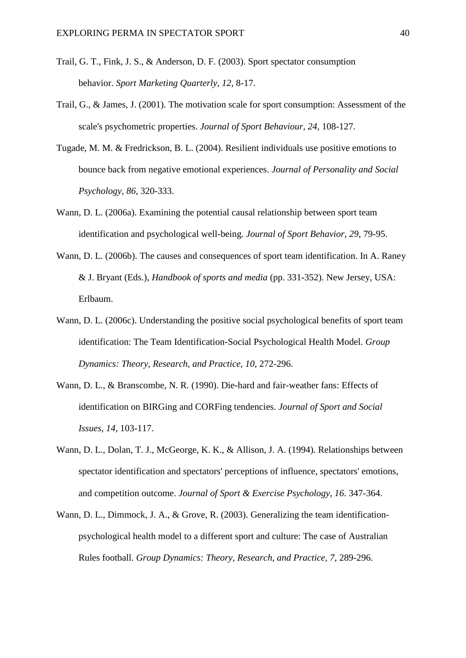- Trail, G. T., Fink, J. S., & Anderson, D. F. (2003). Sport spectator consumption behavior. *Sport Marketing Quarterly, 12*, 8-17.
- Trail, G., & James, J. (2001). The motivation scale for sport consumption: Assessment of the scale's psychometric properties. *Journal of Sport Behaviour, 24*, 108-127.
- Tugade, M. M. & Fredrickson, B. L. (2004). Resilient individuals use positive emotions to bounce back from negative emotional experiences. *Journal of Personality and Social Psychology, 86,* 320-333.
- Wann, D. L. (2006a). Examining the potential causal relationship between sport team identification and psychological well-being. *Journal of Sport Behavior, 29*, 79-95.
- Wann, D. L. (2006b). The causes and consequences of sport team identification. In A. Raney & J. Bryant (Eds.), *Handbook of sports and media* (pp. 331-352). New Jersey, USA: Erlbaum.
- Wann, D. L. (2006c). Understanding the positive social psychological benefits of sport team identification: The Team Identification-Social Psychological Health Model. *Group Dynamics: Theory, Research, and Practice, 10*, 272-296.
- Wann, D. L., & Branscombe, N. R. (1990). Die-hard and fair-weather fans: Effects of identification on BIRGing and CORFing tendencies. *Journal of Sport and Social Issues, 14*, 103-117.
- Wann, D. L., Dolan, T. J., McGeorge, K. K., & Allison, J. A. (1994). Relationships between spectator identification and spectators' perceptions of influence, spectators' emotions, and competition outcome. *Journal of Sport & Exercise Psychology, 16*. 347-364.
- Wann, D. L., Dimmock, J. A., & Grove, R. (2003). Generalizing the team identificationpsychological health model to a different sport and culture: The case of Australian Rules football. *Group Dynamics: Theory, Research, and Practice, 7*, 289-296.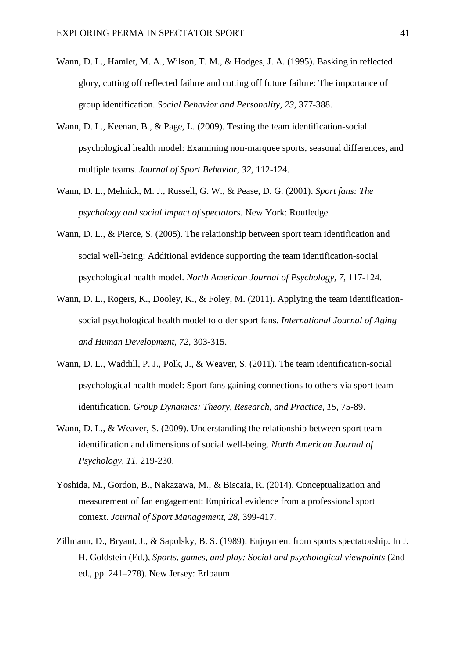- Wann, D. L., Hamlet, M. A., Wilson, T. M., & Hodges, J. A. (1995). Basking in reflected glory, cutting off reflected failure and cutting off future failure: The importance of group identification. *Social Behavior and Personality, 23*, 377-388.
- Wann, D. L., Keenan, B., & Page, L. (2009). Testing the team identification-social psychological health model: Examining non-marquee sports, seasonal differences, and multiple teams. *Journal of Sport Behavior, 32*, 112-124.
- Wann, D. L., Melnick, M. J., Russell, G. W., & Pease, D. G. (2001). *Sport fans: The psychology and social impact of spectators.* New York: Routledge.
- Wann, D. L., & Pierce, S. (2005). The relationship between sport team identification and social well-being: Additional evidence supporting the team identification-social psychological health model. *North American Journal of Psychology, 7*, 117-124.
- Wann, D. L., Rogers, K., Dooley, K., & Foley, M. (2011). Applying the team identificationsocial psychological health model to older sport fans. *International Journal of Aging and Human Development, 72*, 303-315.
- Wann, D. L., Waddill, P. J., Polk, J., & Weaver, S. (2011). The team identification-social psychological health model: Sport fans gaining connections to others via sport team identification. *Group Dynamics: Theory, Research, and Practice, 15*, 75-89.
- Wann, D. L., & Weaver, S. (2009). Understanding the relationship between sport team identification and dimensions of social well-being. *North American Journal of Psychology, 11*, 219-230.
- Yoshida, M., Gordon, B., Nakazawa, M., & Biscaia, R. (2014). Conceptualization and measurement of fan engagement: Empirical evidence from a professional sport context. *Journal of Sport Management, 28*, 399-417.
- Zillmann, D., Bryant, J., & Sapolsky, B. S. (1989). Enjoyment from sports spectatorship. In J. H. Goldstein (Ed.), *Sports, games, and play: Social and psychological viewpoints* (2nd ed., pp. 241–278). New Jersey: Erlbaum.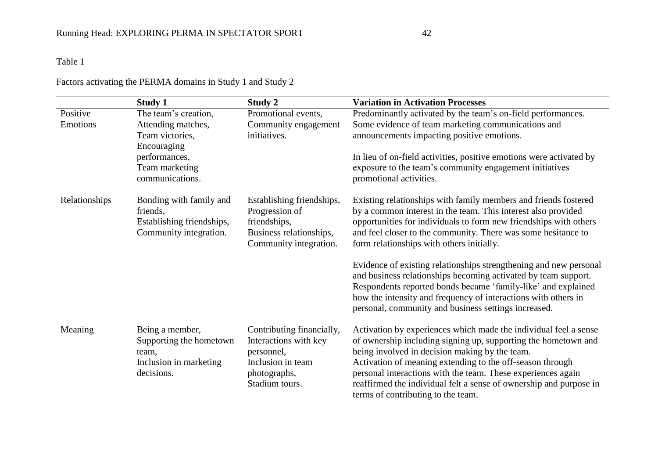# Table 1

| The team's creation,<br>Attending matches,<br>Team victories,<br>Encouraging                | Promotional events,<br>Community engagement<br>initiatives.                                                             | Predominantly activated by the team's on-field performances.<br>Some evidence of team marketing communications and<br>announcements impacting positive emotions.                                                                                                                                                                                                                                                              |
|---------------------------------------------------------------------------------------------|-------------------------------------------------------------------------------------------------------------------------|-------------------------------------------------------------------------------------------------------------------------------------------------------------------------------------------------------------------------------------------------------------------------------------------------------------------------------------------------------------------------------------------------------------------------------|
|                                                                                             |                                                                                                                         |                                                                                                                                                                                                                                                                                                                                                                                                                               |
|                                                                                             |                                                                                                                         |                                                                                                                                                                                                                                                                                                                                                                                                                               |
|                                                                                             |                                                                                                                         |                                                                                                                                                                                                                                                                                                                                                                                                                               |
|                                                                                             |                                                                                                                         |                                                                                                                                                                                                                                                                                                                                                                                                                               |
|                                                                                             |                                                                                                                         | In lieu of on-field activities, positive emotions were activated by                                                                                                                                                                                                                                                                                                                                                           |
|                                                                                             |                                                                                                                         | exposure to the team's community engagement initiatives                                                                                                                                                                                                                                                                                                                                                                       |
|                                                                                             |                                                                                                                         | promotional activities.                                                                                                                                                                                                                                                                                                                                                                                                       |
| Bonding with family and<br>friends,<br>Establishing friendships,                            | Establishing friendships,<br>Progression of<br>friendships,                                                             | Existing relationships with family members and friends fostered<br>by a common interest in the team. This interest also provided<br>opportunities for individuals to form new friendships with others<br>and feel closer to the community. There was some hesitance to                                                                                                                                                        |
|                                                                                             | Community integration.                                                                                                  | form relationships with others initially.                                                                                                                                                                                                                                                                                                                                                                                     |
|                                                                                             |                                                                                                                         | Evidence of existing relationships strengthening and new personal<br>and business relationships becoming activated by team support.<br>Respondents reported bonds became 'family-like' and explained<br>how the intensity and frequency of interactions with others in<br>personal, community and business settings increased.                                                                                                |
| Being a member,<br>Supporting the hometown<br>team,<br>Inclusion in marketing<br>decisions. | Contributing financially,<br>Interactions with key<br>personnel,<br>Inclusion in team<br>photographs,<br>Stadium tours. | Activation by experiences which made the individual feel a sense<br>of ownership including signing up, supporting the hometown and<br>being involved in decision making by the team.<br>Activation of meaning extending to the off-season through<br>personal interactions with the team. These experiences again<br>reaffirmed the individual felt a sense of ownership and purpose in<br>terms of contributing to the team. |
|                                                                                             | performances,<br>Team marketing<br>communications.<br>Community integration.                                            | Business relationships,                                                                                                                                                                                                                                                                                                                                                                                                       |

Factors activating the PERMA domains in Study 1 and Study 2